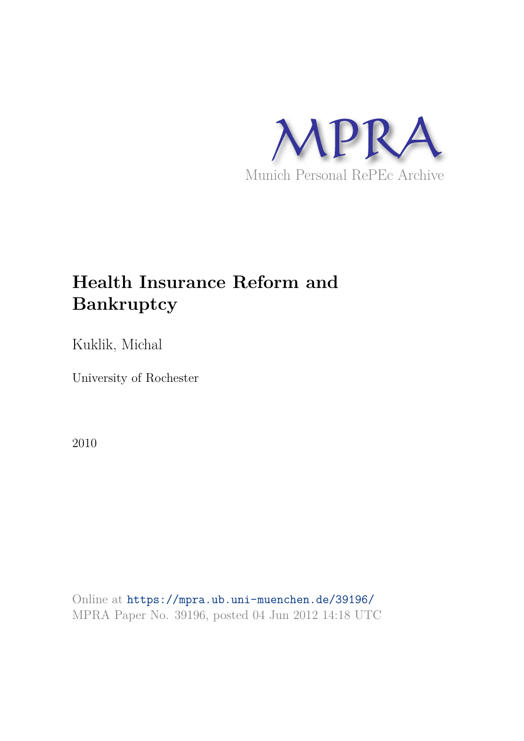

# **Health Insurance Reform and Bankruptcy**

Kuklik, Michal

University of Rochester

2010

Online at https://mpra.ub.uni-muenchen.de/39196/ MPRA Paper No. 39196, posted 04 Jun 2012 14:18 UTC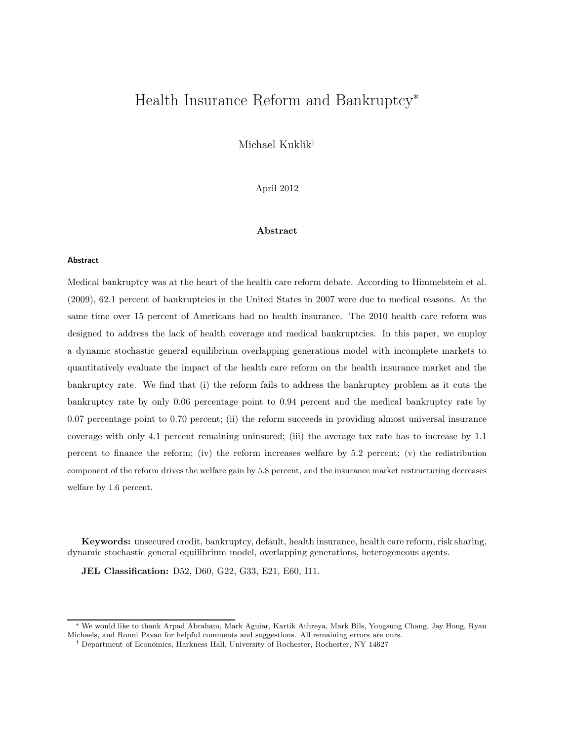# Health Insurance Reform and Bankruptcy<sup>∗</sup>

Michael Kuklik†

April 2012

#### Abstract

#### Abstract

Medical bankruptcy was at the heart of the health care reform debate. According to Himmelstein et al. (2009), 62.1 percent of bankruptcies in the United States in 2007 were due to medical reasons. At the same time over 15 percent of Americans had no health insurance. The 2010 health care reform was designed to address the lack of health coverage and medical bankruptcies. In this paper, we employ a dynamic stochastic general equilibrium overlapping generations model with incomplete markets to quantitatively evaluate the impact of the health care reform on the health insurance market and the bankruptcy rate. We find that (i) the reform fails to address the bankruptcy problem as it cuts the bankruptcy rate by only 0.06 percentage point to 0.94 percent and the medical bankruptcy rate by 0.07 percentage point to 0.70 percent; (ii) the reform succeeds in providing almost universal insurance coverage with only 4.1 percent remaining uninsured; (iii) the average tax rate has to increase by 1.1 percent to finance the reform; (iv) the reform increases welfare by 5.2 percent; (v) the redistribution component of the reform drives the welfare gain by 5.8 percent, and the insurance market restructuring decreases welfare by 1.6 percent.

Keywords: unsecured credit, bankruptcy, default, health insurance, health care reform, risk sharing, dynamic stochastic general equilibrium model, overlapping generations, heterogeneous agents.

JEL Classification: D52, D60, G22, G33, E21, E60, I11.

<sup>∗</sup> We would like to thank Arpad Abraham, Mark Aguiar, Kartik Athreya, Mark Bils, Yongsung Chang, Jay Hong, Ryan Michaels, and Ronni Pavan for helpful comments and suggestions. All remaining errors are ours.

<sup>†</sup> Department of Economics, Harkness Hall, University of Rochester, Rochester, NY 14627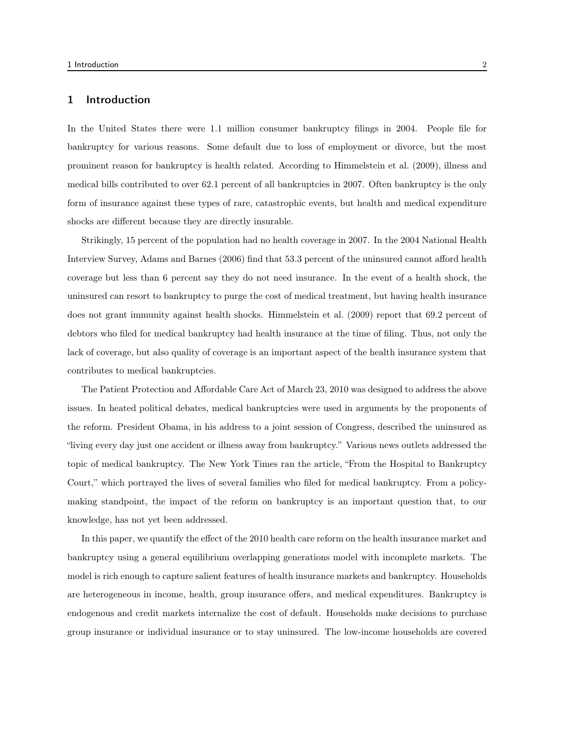# 1 Introduction

In the United States there were 1.1 million consumer bankruptcy filings in 2004. People file for bankruptcy for various reasons. Some default due to loss of employment or divorce, but the most prominent reason for bankruptcy is health related. According to Himmelstein et al. (2009), illness and medical bills contributed to over 62.1 percent of all bankruptcies in 2007. Often bankruptcy is the only form of insurance against these types of rare, catastrophic events, but health and medical expenditure shocks are different because they are directly insurable.

Strikingly, 15 percent of the population had no health coverage in 2007. In the 2004 National Health Interview Survey, Adams and Barnes (2006) find that 53.3 percent of the uninsured cannot afford health coverage but less than 6 percent say they do not need insurance. In the event of a health shock, the uninsured can resort to bankruptcy to purge the cost of medical treatment, but having health insurance does not grant immunity against health shocks. Himmelstein et al. (2009) report that 69.2 percent of debtors who filed for medical bankruptcy had health insurance at the time of filing. Thus, not only the lack of coverage, but also quality of coverage is an important aspect of the health insurance system that contributes to medical bankruptcies.

The Patient Protection and Affordable Care Act of March 23, 2010 was designed to address the above issues. In heated political debates, medical bankruptcies were used in arguments by the proponents of the reform. President Obama, in his address to a joint session of Congress, described the uninsured as "living every day just one accident or illness away from bankruptcy." Various news outlets addressed the topic of medical bankruptcy. The New York Times ran the article, "From the Hospital to Bankruptcy Court," which portrayed the lives of several families who filed for medical bankruptcy. From a policymaking standpoint, the impact of the reform on bankruptcy is an important question that, to our knowledge, has not yet been addressed.

In this paper, we quantify the effect of the 2010 health care reform on the health insurance market and bankruptcy using a general equilibrium overlapping generations model with incomplete markets. The model is rich enough to capture salient features of health insurance markets and bankruptcy. Households are heterogeneous in income, health, group insurance offers, and medical expenditures. Bankruptcy is endogenous and credit markets internalize the cost of default. Households make decisions to purchase group insurance or individual insurance or to stay uninsured. The low-income households are covered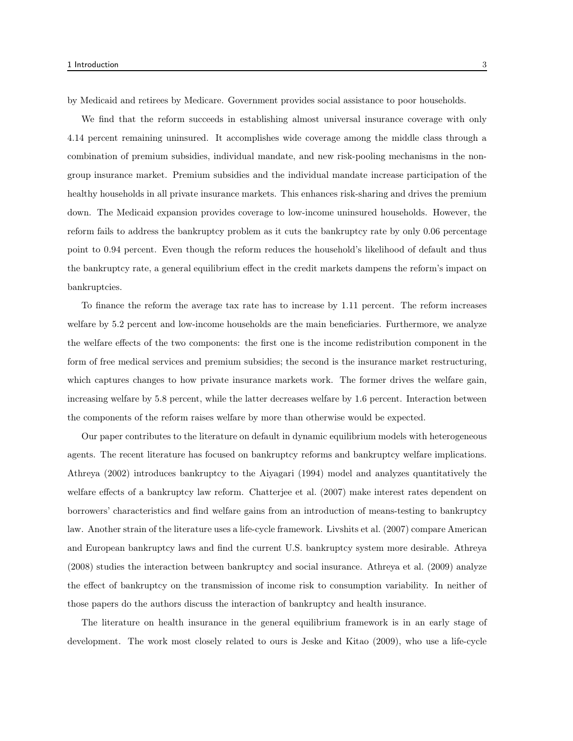by Medicaid and retirees by Medicare. Government provides social assistance to poor households.

We find that the reform succeeds in establishing almost universal insurance coverage with only 4.14 percent remaining uninsured. It accomplishes wide coverage among the middle class through a combination of premium subsidies, individual mandate, and new risk-pooling mechanisms in the nongroup insurance market. Premium subsidies and the individual mandate increase participation of the healthy households in all private insurance markets. This enhances risk-sharing and drives the premium down. The Medicaid expansion provides coverage to low-income uninsured households. However, the reform fails to address the bankruptcy problem as it cuts the bankruptcy rate by only 0.06 percentage point to 0.94 percent. Even though the reform reduces the household's likelihood of default and thus the bankruptcy rate, a general equilibrium effect in the credit markets dampens the reform's impact on bankruptcies.

To finance the reform the average tax rate has to increase by 1.11 percent. The reform increases welfare by 5.2 percent and low-income households are the main beneficiaries. Furthermore, we analyze the welfare effects of the two components: the first one is the income redistribution component in the form of free medical services and premium subsidies; the second is the insurance market restructuring, which captures changes to how private insurance markets work. The former drives the welfare gain, increasing welfare by 5.8 percent, while the latter decreases welfare by 1.6 percent. Interaction between the components of the reform raises welfare by more than otherwise would be expected.

Our paper contributes to the literature on default in dynamic equilibrium models with heterogeneous agents. The recent literature has focused on bankruptcy reforms and bankruptcy welfare implications. Athreya (2002) introduces bankruptcy to the Aiyagari (1994) model and analyzes quantitatively the welfare effects of a bankruptcy law reform. Chatterjee et al. (2007) make interest rates dependent on borrowers' characteristics and find welfare gains from an introduction of means-testing to bankruptcy law. Another strain of the literature uses a life-cycle framework. Livshits et al. (2007) compare American and European bankruptcy laws and find the current U.S. bankruptcy system more desirable. Athreya (2008) studies the interaction between bankruptcy and social insurance. Athreya et al. (2009) analyze the effect of bankruptcy on the transmission of income risk to consumption variability. In neither of those papers do the authors discuss the interaction of bankruptcy and health insurance.

The literature on health insurance in the general equilibrium framework is in an early stage of development. The work most closely related to ours is Jeske and Kitao (2009), who use a life-cycle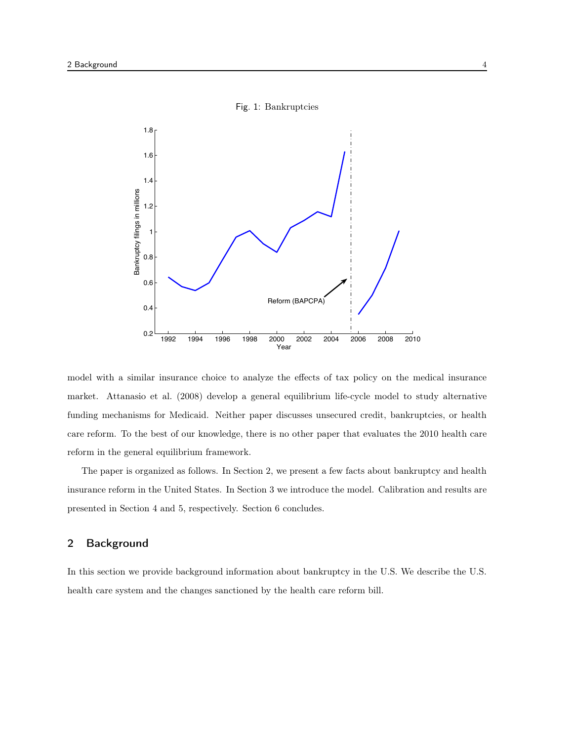

Fig. 1: Bankruptcies

model with a similar insurance choice to analyze the effects of tax policy on the medical insurance market. Attanasio et al. (2008) develop a general equilibrium life-cycle model to study alternative funding mechanisms for Medicaid. Neither paper discusses unsecured credit, bankruptcies, or health care reform. To the best of our knowledge, there is no other paper that evaluates the 2010 health care reform in the general equilibrium framework.

The paper is organized as follows. In Section 2, we present a few facts about bankruptcy and health insurance reform in the United States. In Section 3 we introduce the model. Calibration and results are presented in Section 4 and 5, respectively. Section 6 concludes.

# 2 Background

In this section we provide background information about bankruptcy in the U.S. We describe the U.S. health care system and the changes sanctioned by the health care reform bill.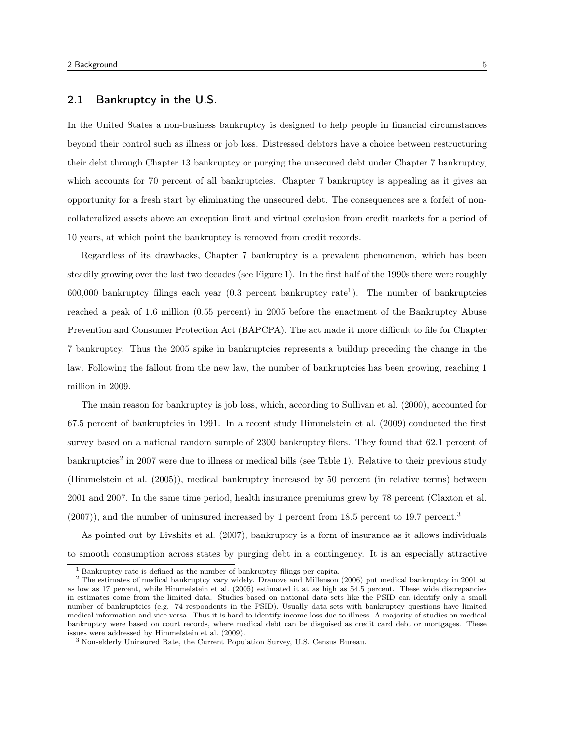# 2.1 Bankruptcy in the U.S.

In the United States a non-business bankruptcy is designed to help people in financial circumstances beyond their control such as illness or job loss. Distressed debtors have a choice between restructuring their debt through Chapter 13 bankruptcy or purging the unsecured debt under Chapter 7 bankruptcy, which accounts for 70 percent of all bankruptcies. Chapter 7 bankruptcy is appealing as it gives an opportunity for a fresh start by eliminating the unsecured debt. The consequences are a forfeit of noncollateralized assets above an exception limit and virtual exclusion from credit markets for a period of 10 years, at which point the bankruptcy is removed from credit records.

Regardless of its drawbacks, Chapter 7 bankruptcy is a prevalent phenomenon, which has been steadily growing over the last two decades (see Figure 1). In the first half of the 1990s there were roughly 600,000 bankruptcy filings each year (0.3 percent bankruptcy rate<sup>1</sup>). The number of bankruptcies reached a peak of 1.6 million (0.55 percent) in 2005 before the enactment of the Bankruptcy Abuse Prevention and Consumer Protection Act (BAPCPA). The act made it more difficult to file for Chapter 7 bankruptcy. Thus the 2005 spike in bankruptcies represents a buildup preceding the change in the law. Following the fallout from the new law, the number of bankruptcies has been growing, reaching 1 million in 2009.

The main reason for bankruptcy is job loss, which, according to Sullivan et al. (2000), accounted for 67.5 percent of bankruptcies in 1991. In a recent study Himmelstein et al. (2009) conducted the first survey based on a national random sample of 2300 bankruptcy filers. They found that 62.1 percent of bankruptcies<sup>2</sup> in 2007 were due to illness or medical bills (see Table 1). Relative to their previous study (Himmelstein et al. (2005)), medical bankruptcy increased by 50 percent (in relative terms) between 2001 and 2007. In the same time period, health insurance premiums grew by 78 percent (Claxton et al.  $(2007)$ , and the number of uninsured increased by 1 percent from 18.5 percent to 19.7 percent.<sup>3</sup>

As pointed out by Livshits et al. (2007), bankruptcy is a form of insurance as it allows individuals to smooth consumption across states by purging debt in a contingency. It is an especially attractive

<sup>1</sup> Bankruptcy rate is defined as the number of bankruptcy filings per capita.

<sup>&</sup>lt;sup>2</sup> The estimates of medical bankruptcy vary widely. Dranove and Millenson (2006) put medical bankruptcy in 2001 at as low as 17 percent, while Himmelstein et al. (2005) estimated it at as high as 54.5 percent. These wide discrepancies in estimates come from the limited data. Studies based on national data sets like the PSID can identify only a small number of bankruptcies (e.g. 74 respondents in the PSID). Usually data sets with bankruptcy questions have limited medical information and vice versa. Thus it is hard to identify income loss due to illness. A majority of studies on medical bankruptcy were based on court records, where medical debt can be disguised as credit card debt or mortgages. These issues were addressed by Himmelstein et al. (2009).

<sup>3</sup> Non-elderly Uninsured Rate, the Current Population Survey, U.S. Census Bureau.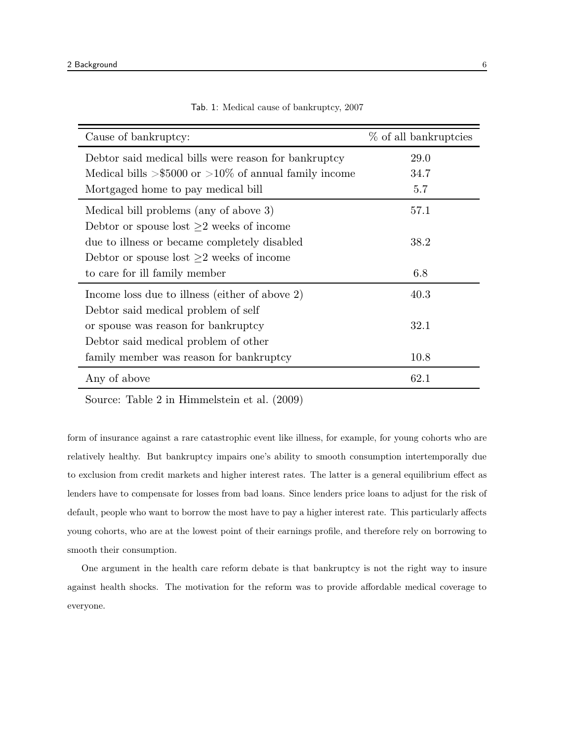| Cause of bankruptcy:                                   | % of all bankruptcies |
|--------------------------------------------------------|-----------------------|
| Debtor said medical bills were reason for bankruptcy   | 29.0                  |
| Medical bills >\$5000 or >10\% of annual family income | 34.7                  |
| Mortgaged home to pay medical bill                     | 5.7                   |
| Medical bill problems (any of above 3)                 | 57.1                  |
| Debtor or spouse lost $\geq$ weeks of income           |                       |
| due to illness or became completely disabled           | 38.2                  |
| Debtor or spouse lost $\geq 2$ weeks of income         |                       |
| to care for ill family member                          | 6.8                   |
| Income loss due to illness (either of above 2)         | 40.3                  |
| Debtor said medical problem of self                    |                       |
| or spouse was reason for bankruptcy                    | 32.1                  |
| Debtor said medical problem of other                   |                       |
| family member was reason for bankruptcy                | 10.8                  |
| Any of above                                           | 62.1                  |

Tab. 1: Medical cause of bankruptcy, 2007

Source: Table 2 in Himmelstein et al. (2009)

form of insurance against a rare catastrophic event like illness, for example, for young cohorts who are relatively healthy. But bankruptcy impairs one's ability to smooth consumption intertemporally due to exclusion from credit markets and higher interest rates. The latter is a general equilibrium effect as lenders have to compensate for losses from bad loans. Since lenders price loans to adjust for the risk of default, people who want to borrow the most have to pay a higher interest rate. This particularly affects young cohorts, who are at the lowest point of their earnings profile, and therefore rely on borrowing to smooth their consumption.

One argument in the health care reform debate is that bankruptcy is not the right way to insure against health shocks. The motivation for the reform was to provide affordable medical coverage to everyone.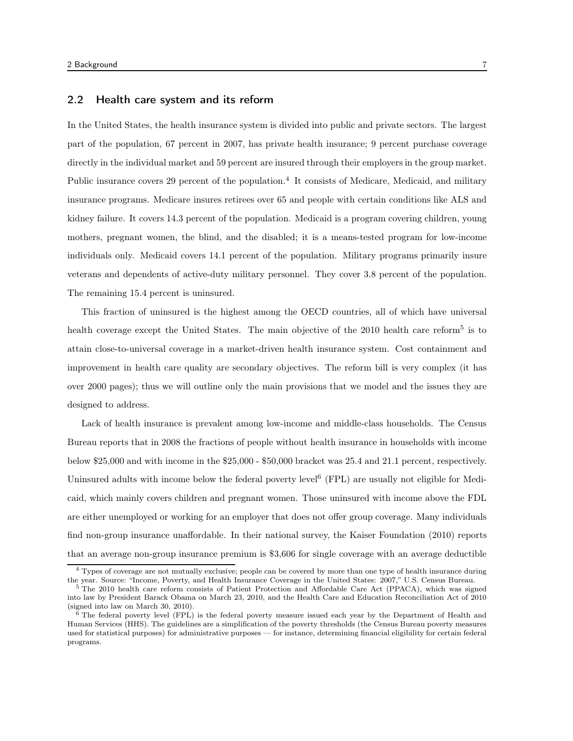# 2.2 Health care system and its reform

In the United States, the health insurance system is divided into public and private sectors. The largest part of the population, 67 percent in 2007, has private health insurance; 9 percent purchase coverage directly in the individual market and 59 percent are insured through their employers in the group market. Public insurance covers 29 percent of the population.<sup>4</sup> It consists of Medicare, Medicaid, and military insurance programs. Medicare insures retirees over 65 and people with certain conditions like ALS and kidney failure. It covers 14.3 percent of the population. Medicaid is a program covering children, young mothers, pregnant women, the blind, and the disabled; it is a means-tested program for low-income individuals only. Medicaid covers 14.1 percent of the population. Military programs primarily insure veterans and dependents of active-duty military personnel. They cover 3.8 percent of the population. The remaining 15.4 percent is uninsured.

This fraction of uninsured is the highest among the OECD countries, all of which have universal health coverage except the United States. The main objective of the  $2010$  health care reform<sup>5</sup> is to attain close-to-universal coverage in a market-driven health insurance system. Cost containment and improvement in health care quality are secondary objectives. The reform bill is very complex (it has over 2000 pages); thus we will outline only the main provisions that we model and the issues they are designed to address.

Lack of health insurance is prevalent among low-income and middle-class households. The Census Bureau reports that in 2008 the fractions of people without health insurance in households with income below \$25,000 and with income in the \$25,000 - \$50,000 bracket was 25.4 and 21.1 percent, respectively. Uninsured adults with income below the federal poverty level<sup>6</sup> (FPL) are usually not eligible for Medicaid, which mainly covers children and pregnant women. Those uninsured with income above the FDL are either unemployed or working for an employer that does not offer group coverage. Many individuals find non-group insurance unaffordable. In their national survey, the Kaiser Foundation (2010) reports that an average non-group insurance premium is \$3,606 for single coverage with an average deductible

<sup>4</sup> Types of coverage are not mutually exclusive; people can be covered by more than one type of health insurance during the year. Source: "Income, Poverty, and Health Insurance Coverage in the United States: 2007," U.S. Census Bureau.

<sup>5</sup> The 2010 health care reform consists of Patient Protection and Affordable Care Act (PPACA), which was signed into law by President Barack Obama on March 23, 2010, and the Health Care and Education Reconciliation Act of 2010 (signed into law on March 30, 2010).

 $\overline{6}$  The federal poverty level (FPL) is the federal poverty measure issued each year by the Department of Health and Human Services (HHS). The guidelines are a simplification of the poverty thresholds (the Census Bureau poverty measures used for statistical purposes) for administrative purposes — for instance, determining financial eligibility for certain federal programs.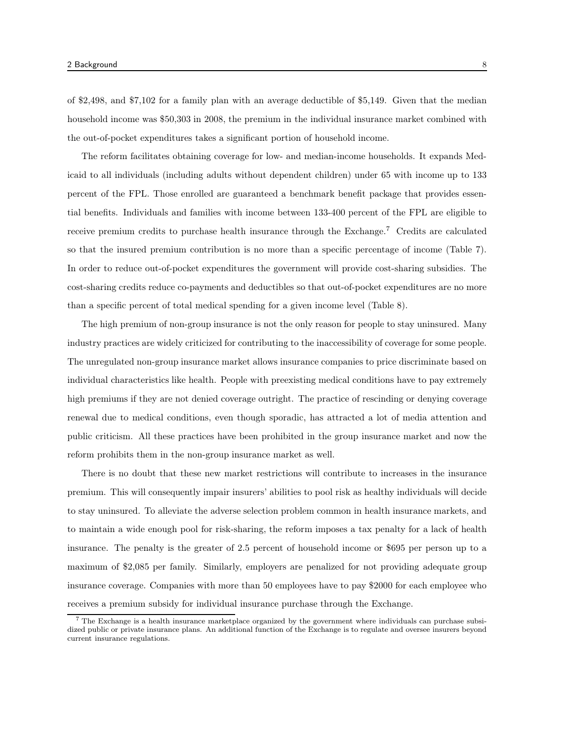of \$2,498, and \$7,102 for a family plan with an average deductible of \$5,149. Given that the median household income was \$50,303 in 2008, the premium in the individual insurance market combined with the out-of-pocket expenditures takes a significant portion of household income.

The reform facilitates obtaining coverage for low- and median-income households. It expands Medicaid to all individuals (including adults without dependent children) under 65 with income up to 133 percent of the FPL. Those enrolled are guaranteed a benchmark benefit package that provides essential benefits. Individuals and families with income between 133-400 percent of the FPL are eligible to receive premium credits to purchase health insurance through the Exchange.<sup>7</sup> Credits are calculated so that the insured premium contribution is no more than a specific percentage of income (Table 7). In order to reduce out-of-pocket expenditures the government will provide cost-sharing subsidies. The cost-sharing credits reduce co-payments and deductibles so that out-of-pocket expenditures are no more than a specific percent of total medical spending for a given income level (Table 8).

The high premium of non-group insurance is not the only reason for people to stay uninsured. Many industry practices are widely criticized for contributing to the inaccessibility of coverage for some people. The unregulated non-group insurance market allows insurance companies to price discriminate based on individual characteristics like health. People with preexisting medical conditions have to pay extremely high premiums if they are not denied coverage outright. The practice of rescinding or denying coverage renewal due to medical conditions, even though sporadic, has attracted a lot of media attention and public criticism. All these practices have been prohibited in the group insurance market and now the reform prohibits them in the non-group insurance market as well.

There is no doubt that these new market restrictions will contribute to increases in the insurance premium. This will consequently impair insurers' abilities to pool risk as healthy individuals will decide to stay uninsured. To alleviate the adverse selection problem common in health insurance markets, and to maintain a wide enough pool for risk-sharing, the reform imposes a tax penalty for a lack of health insurance. The penalty is the greater of 2.5 percent of household income or \$695 per person up to a maximum of \$2,085 per family. Similarly, employers are penalized for not providing adequate group insurance coverage. Companies with more than 50 employees have to pay \$2000 for each employee who receives a premium subsidy for individual insurance purchase through the Exchange.

<sup>&</sup>lt;sup>7</sup> The Exchange is a health insurance marketplace organized by the government where individuals can purchase subsidized public or private insurance plans. An additional function of the Exchange is to regulate and oversee insurers beyond current insurance regulations.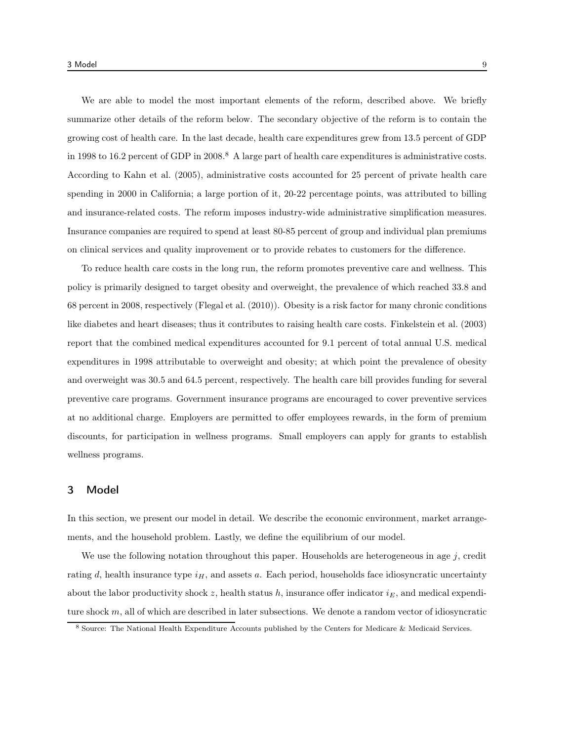We are able to model the most important elements of the reform, described above. We briefly summarize other details of the reform below. The secondary objective of the reform is to contain the growing cost of health care. In the last decade, health care expenditures grew from 13.5 percent of GDP in 1998 to 16.2 percent of GDP in 2008.<sup>8</sup> A large part of health care expenditures is administrative costs. According to Kahn et al. (2005), administrative costs accounted for 25 percent of private health care spending in 2000 in California; a large portion of it, 20-22 percentage points, was attributed to billing and insurance-related costs. The reform imposes industry-wide administrative simplification measures. Insurance companies are required to spend at least 80-85 percent of group and individual plan premiums on clinical services and quality improvement or to provide rebates to customers for the difference.

To reduce health care costs in the long run, the reform promotes preventive care and wellness. This policy is primarily designed to target obesity and overweight, the prevalence of which reached 33.8 and 68 percent in 2008, respectively (Flegal et al. (2010)). Obesity is a risk factor for many chronic conditions like diabetes and heart diseases; thus it contributes to raising health care costs. Finkelstein et al. (2003) report that the combined medical expenditures accounted for 9.1 percent of total annual U.S. medical expenditures in 1998 attributable to overweight and obesity; at which point the prevalence of obesity and overweight was 30.5 and 64.5 percent, respectively. The health care bill provides funding for several preventive care programs. Government insurance programs are encouraged to cover preventive services at no additional charge. Employers are permitted to offer employees rewards, in the form of premium discounts, for participation in wellness programs. Small employers can apply for grants to establish wellness programs.

# 3 Model

In this section, we present our model in detail. We describe the economic environment, market arrangements, and the household problem. Lastly, we define the equilibrium of our model.

We use the following notation throughout this paper. Households are heterogeneous in age  $j$ , credit rating d, health insurance type  $i<sub>H</sub>$ , and assets a. Each period, households face idiosyncratic uncertainty about the labor productivity shock z, health status h, insurance offer indicator  $i_E$ , and medical expenditure shock  $m$ , all of which are described in later subsections. We denote a random vector of idiosyncratic

<sup>8</sup> Source: The National Health Expenditure Accounts published by the Centers for Medicare & Medicaid Services.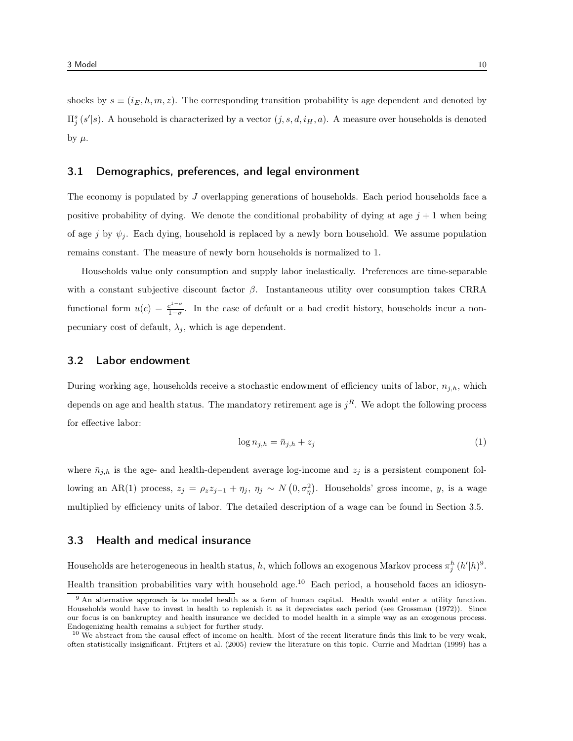shocks by  $s \equiv (i_E, h, m, z)$ . The corresponding transition probability is age dependent and denoted by  $\Pi_j^s(s'|s)$ . A household is characterized by a vector  $(j, s, d, i_H, a)$ . A measure over households is denoted by  $\mu$ .

#### 3.1 Demographics, preferences, and legal environment

The economy is populated by J overlapping generations of households. Each period households face a positive probability of dying. We denote the conditional probability of dying at age  $j + 1$  when being of age j by  $\psi_i$ . Each dying, household is replaced by a newly born household. We assume population remains constant. The measure of newly born households is normalized to 1.

Households value only consumption and supply labor inelastically. Preferences are time-separable with a constant subjective discount factor  $\beta$ . Instantaneous utility over consumption takes CRRA functional form  $u(c) = \frac{c^{1-\sigma}}{1-\sigma}$  $\frac{e^{2}}{1-\sigma}$ . In the case of default or a bad credit history, households incur a nonpecuniary cost of default,  $\lambda_i$ , which is age dependent.

#### 3.2 Labor endowment

During working age, households receive a stochastic endowment of efficiency units of labor,  $n_{j,h}$ , which depends on age and health status. The mandatory retirement age is  $j<sup>R</sup>$ . We adopt the following process for effective labor:

$$
\log n_{j,h} = \bar{n}_{j,h} + z_j \tag{1}
$$

where  $\bar{n}_{j,h}$  is the age- and health-dependent average log-income and  $z_j$  is a persistent component following an AR(1) process,  $z_j = \rho_z z_{j-1} + \eta_j$ ,  $\eta_j \sim N(0, \sigma_\eta^2)$ . Households' gross income, y, is a wage multiplied by efficiency units of labor. The detailed description of a wage can be found in Section 3.5.

# 3.3 Health and medical insurance

Households are heterogeneous in health status, h, which follows an exogenous Markov process  $\pi_j^h(h'|h)^9$ . Health transition probabilities vary with household age.<sup>10</sup> Each period, a household faces an idiosyn-

<sup>9</sup> An alternative approach is to model health as a form of human capital. Health would enter a utility function. Households would have to invest in health to replenish it as it depreciates each period (see Grossman (1972)). Since our focus is on bankruptcy and health insurance we decided to model health in a simple way as an exogenous process. Endogenizing health remains a subject for further study.

 $10$  We abstract from the causal effect of income on health. Most of the recent literature finds this link to be very weak, often statistically insignificant. Frijters et al. (2005) review the literature on this topic. Currie and Madrian (1999) has a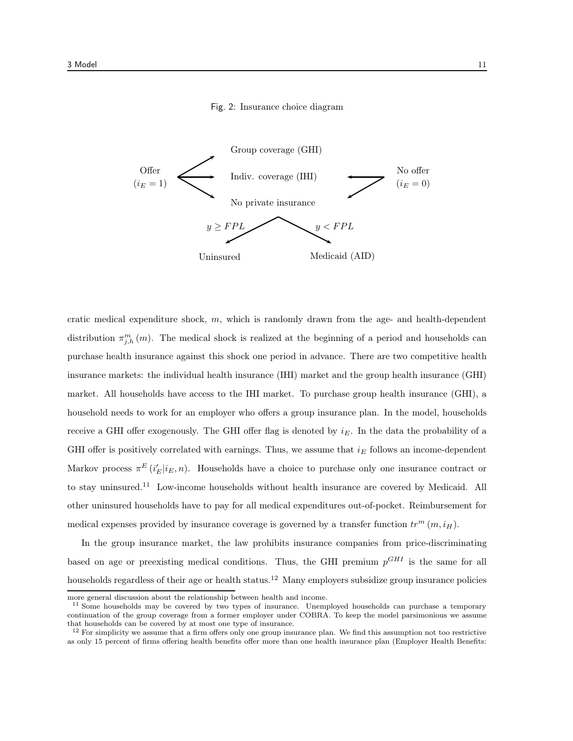#### Fig. 2: Insurance choice diagram



cratic medical expenditure shock,  $m$ , which is randomly drawn from the age- and health-dependent distribution  $\pi_{j,h}^m(m)$ . The medical shock is realized at the beginning of a period and households can purchase health insurance against this shock one period in advance. There are two competitive health insurance markets: the individual health insurance (IHI) market and the group health insurance (GHI) market. All households have access to the IHI market. To purchase group health insurance (GHI), a household needs to work for an employer who offers a group insurance plan. In the model, households receive a GHI offer exogenously. The GHI offer flag is denoted by  $i_E$ . In the data the probability of a GHI offer is positively correlated with earnings. Thus, we assume that  $i_E$  follows an income-dependent Markov process  $\pi^{E}(i'_{E}|i_{E}, n)$ . Households have a choice to purchase only one insurance contract or to stay uninsured.<sup>11</sup> Low-income households without health insurance are covered by Medicaid. All other uninsured households have to pay for all medical expenditures out-of-pocket. Reimbursement for medical expenses provided by insurance coverage is governed by a transfer function  $tr^m(m, i_H)$ .

In the group insurance market, the law prohibits insurance companies from price-discriminating based on age or preexisting medical conditions. Thus, the GHI premium  $p^{GHI}$  is the same for all households regardless of their age or health status.<sup>12</sup> Many employers subsidize group insurance policies

more general discussion about the relationship between health and income.

<sup>&</sup>lt;sup>11</sup> Some households may be covered by two types of insurance. Unemployed households can purchase a temporary continuation of the group coverage from a former employer under COBRA. To keep the model parsimonious we assume that households can be covered by at most one type of insurance.

 $12$  For simplicity we assume that a firm offers only one group insurance plan. We find this assumption not too restrictive as only 15 percent of firms offering health benefits offer more than one health insurance plan (Employer Health Benefits: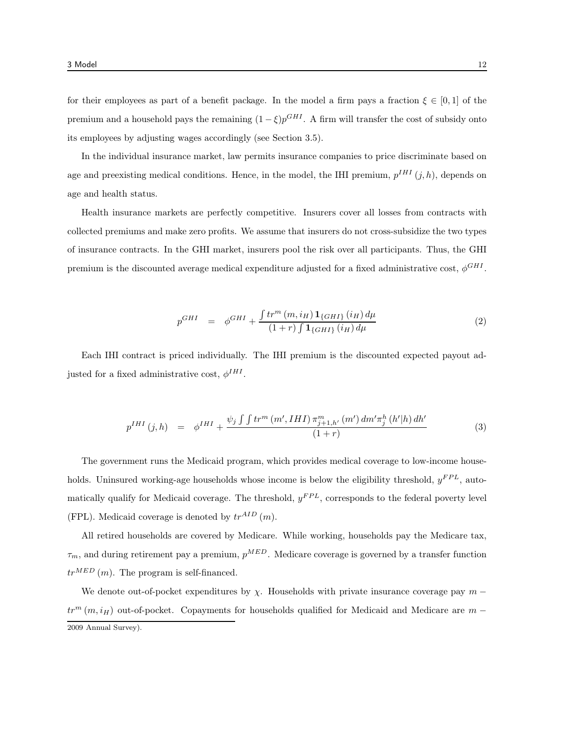for their employees as part of a benefit package. In the model a firm pays a fraction  $\xi \in [0,1]$  of the premium and a household pays the remaining  $(1 - \xi)p^{GHI}$ . A firm will transfer the cost of subsidy onto its employees by adjusting wages accordingly (see Section 3.5).

In the individual insurance market, law permits insurance companies to price discriminate based on age and preexisting medical conditions. Hence, in the model, the IHI premium,  $p^{IHI}(j,h)$ , depends on age and health status.

Health insurance markets are perfectly competitive. Insurers cover all losses from contracts with collected premiums and make zero profits. We assume that insurers do not cross-subsidize the two types of insurance contracts. In the GHI market, insurers pool the risk over all participants. Thus, the GHI premium is the discounted average medical expenditure adjusted for a fixed administrative cost,  $\phi^{GHI}$ .

$$
p^{GHI} = \phi^{GHI} + \frac{\int tr^{m} (m, i_H) \mathbf{1}_{\{GHI\}} (i_H) d\mu}{(1+r) \int \mathbf{1}_{\{GHI\}} (i_H) d\mu}
$$
(2)

Each IHI contract is priced individually. The IHI premium is the discounted expected payout adjusted for a fixed administrative cost,  $\phi^{IHI}$ .

$$
p^{IHI}(j,h) = \phi^{IHI} + \frac{\psi_j \int \int tr^m (m', IHI) \pi_{j+1,h'}^m (m') dm' \pi_j^h (h'|h) dh'}{(1+r)}
$$
(3)

The government runs the Medicaid program, which provides medical coverage to low-income households. Uninsured working-age households whose income is below the eligibility threshold,  $y^{FPL}$ , automatically qualify for Medicaid coverage. The threshold,  $y^{FPL}$ , corresponds to the federal poverty level (FPL). Medicaid coverage is denoted by  $tr^{AID}(m)$ .

All retired households are covered by Medicare. While working, households pay the Medicare tax,  $\tau_m$ , and during retirement pay a premium,  $p^{MED}$ . Medicare coverage is governed by a transfer function  $tr^{MED}(m)$ . The program is self-financed.

We denote out-of-pocket expenditures by  $\chi$ . Households with private insurance coverage pay  $m$  $tr<sup>m</sup>$  (m, i<sub>H</sub>) out-of-pocket. Copayments for households qualified for Medicaid and Medicare are m − 2009 Annual Survey).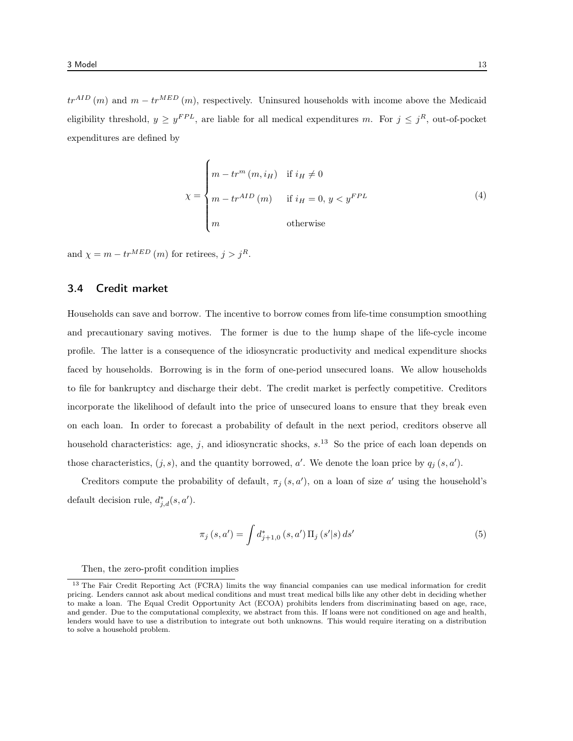$tr^{AID}(m)$  and  $m - tr^{MED}(m)$ , respectively. Uninsured households with income above the Medicaid eligibility threshold,  $y \ge y^{FPL}$ , are liable for all medical expenditures m. For  $j \le j^R$ , out-of-pocket expenditures are defined by

$$
\chi = \begin{cases} m - tr^{m} (m, i_{H}) & \text{if } i_{H} \neq 0 \\ m - tr^{AID} (m) & \text{if } i_{H} = 0, y < y^{FPL} \\ m & \text{otherwise} \end{cases}
$$
(4)

and  $\chi = m - tr^{MED} (m)$  for retirees,  $j > j<sup>R</sup>$ .

# 3.4 Credit market

Households can save and borrow. The incentive to borrow comes from life-time consumption smoothing and precautionary saving motives. The former is due to the hump shape of the life-cycle income profile. The latter is a consequence of the idiosyncratic productivity and medical expenditure shocks faced by households. Borrowing is in the form of one-period unsecured loans. We allow households to file for bankruptcy and discharge their debt. The credit market is perfectly competitive. Creditors incorporate the likelihood of default into the price of unsecured loans to ensure that they break even on each loan. In order to forecast a probability of default in the next period, creditors observe all household characteristics: age, j, and idiosyncratic shocks,  $s$ <sup>13</sup> So the price of each loan depends on those characteristics,  $(j, s)$ , and the quantity borrowed, a'. We denote the loan price by  $q_j(s, a')$ .

Creditors compute the probability of default,  $\pi_j(s, a')$ , on a loan of size a' using the household's default decision rule,  $d_{j,d}^*(s, a')$ .

$$
\pi_j(s, a') = \int d_{j+1,0}^*(s, a') \Pi_j(s'|s) ds'
$$
\n(5)

Then, the zero-profit condition implies

<sup>&</sup>lt;sup>13</sup> The Fair Credit Reporting Act (FCRA) limits the way financial companies can use medical information for credit pricing. Lenders cannot ask about medical conditions and must treat medical bills like any other debt in deciding whether to make a loan. The Equal Credit Opportunity Act (ECOA) prohibits lenders from discriminating based on age, race, and gender. Due to the computational complexity, we abstract from this. If loans were not conditioned on age and health, lenders would have to use a distribution to integrate out both unknowns. This would require iterating on a distribution to solve a household problem.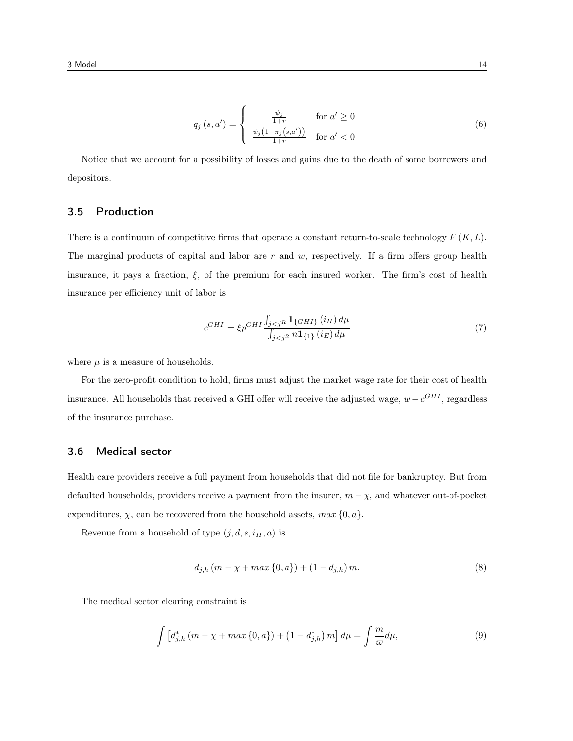$$
q_j(s, a') = \begin{cases} \frac{\psi_j}{1+r} & \text{for } a' \ge 0\\ \frac{\psi_j\left(1 - \pi_j(s, a')\right)}{1+r} & \text{for } a' < 0 \end{cases} \tag{6}
$$

Notice that we account for a possibility of losses and gains due to the death of some borrowers and depositors.

# 3.5 Production

There is a continuum of competitive firms that operate a constant return-to-scale technology  $F(K, L)$ . The marginal products of capital and labor are  $r$  and  $w$ , respectively. If a firm offers group health insurance, it pays a fraction,  $\xi$ , of the premium for each insured worker. The firm's cost of health insurance per efficiency unit of labor is

$$
c^{GHI} = \xi p^{GHI} \frac{\int_{j < j^R} \mathbf{1}_{\{GHI\}}(i_H) \, d\mu}{\int_{j < j^R} n \mathbf{1}_{\{1\}}(i_E) \, d\mu} \tag{7}
$$

where  $\mu$  is a measure of households.

For the zero-profit condition to hold, firms must adjust the market wage rate for their cost of health insurance. All households that received a GHI offer will receive the adjusted wage,  $w - c^{GHI}$ , regardless of the insurance purchase.

#### 3.6 Medical sector

Health care providers receive a full payment from households that did not file for bankruptcy. But from defaulted households, providers receive a payment from the insurer,  $m - \chi$ , and whatever out-of-pocket expenditures,  $\chi$ , can be recovered from the household assets,  $max\{0, a\}$ .

Revenue from a household of type  $(j, d, s, i_H, a)$  is

$$
d_{j,h}(m - \chi + \max\{0, a\}) + (1 - d_{j,h})m. \tag{8}
$$

The medical sector clearing constraint is

$$
\int \left[ d_{j,h}^* \left( m - \chi + \max\{0, a\} \right) + \left( 1 - d_{j,h}^* \right) m \right] d\mu = \int \frac{m}{\varpi} d\mu, \tag{9}
$$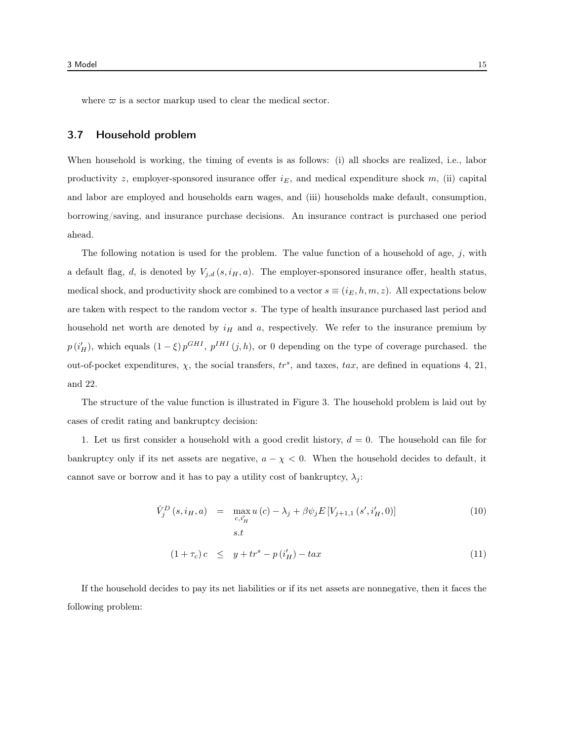where  $\varpi$  is a sector markup used to clear the medical sector.

# 3.7 Household problem

When household is working, the timing of events is as follows: (i) all shocks are realized, i.e., labor productivity z, employer-sponsored insurance offer  $i_E$ , and medical expenditure shock m, (ii) capital and labor are employed and households earn wages, and (iii) households make default, consumption, borrowing/saving, and insurance purchase decisions. An insurance contract is purchased one period ahead.

The following notation is used for the problem. The value function of a household of age,  $j$ , with a default flag, d, is denoted by  $V_{j,d}(s, i_H, a)$ . The employer-sponsored insurance offer, health status, medical shock, and productivity shock are combined to a vector  $s \equiv (i_E, h, m, z)$ . All expectations below are taken with respect to the random vector s. The type of health insurance purchased last period and household net worth are denoted by  $i_H$  and a, respectively. We refer to the insurance premium by  $p(i'_H)$ , which equals  $(1-\xi)p^{GHI}$ ,  $p^{IHI}(j,h)$ , or 0 depending on the type of coverage purchased. the out-of-pocket expenditures,  $\chi$ , the social transfers,  $tr^s$ , and taxes,  $tax$ , are defined in equations 4, 21, and 22.

The structure of the value function is illustrated in Figure 3. The household problem is laid out by cases of credit rating and bankruptcy decision:

1. Let us first consider a household with a good credit history,  $d = 0$ . The household can file for bankruptcy only if its net assets are negative,  $a - \chi < 0$ . When the household decides to default, it cannot save or borrow and it has to pay a utility cost of bankruptcy,  $\lambda_j$ :

$$
\hat{V}_j^D(s, i_H, a) = \max_{c, i'_H} u(c) - \lambda_j + \beta \psi_j E[V_{j+1, 1}(s', i'_H, 0)]
$$
\n(10)

$$
(1 + \tau_c)c \leq y + tr^s - p(i'_H) - tax \tag{11}
$$

If the household decides to pay its net liabilities or if its net assets are nonnegative, then it faces the following problem: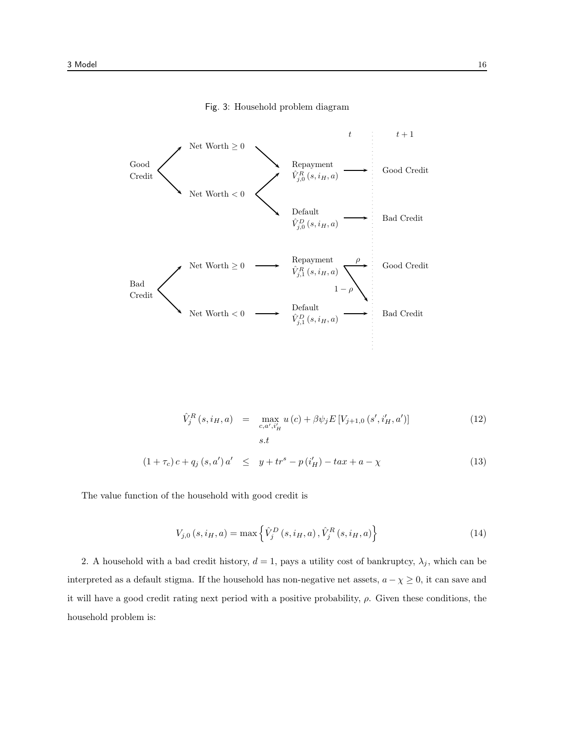

Fig. 3: Household problem diagram

$$
\hat{V}_j^R(s, i_H, a) = \max_{c, a', i'_H} u(c) + \beta \psi_j E[V_{j+1,0}(s', i'_H, a')]
$$
\n(12)

$$
(1 + \tau_c) c + q_j (s, a') a' \leq y + tr^s - p(i'_H) - tax + a - \chi
$$
\n(13)

The value function of the household with good credit is

$$
V_{j,0}(s, i_H, a) = \max\left\{\hat{V}_j^D(s, i_H, a), \hat{V}_j^R(s, i_H, a)\right\}
$$
(14)

2. A household with a bad credit history,  $d = 1$ , pays a utility cost of bankruptcy,  $\lambda_j$ , which can be interpreted as a default stigma. If the household has non-negative net assets,  $a - \chi \ge 0$ , it can save and it will have a good credit rating next period with a positive probability,  $\rho$ . Given these conditions, the household problem is: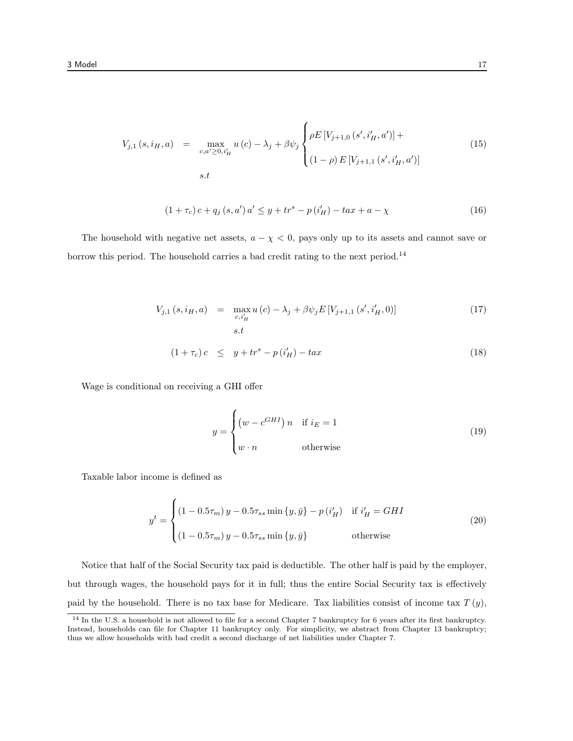$$
V_{j,1}(s, i_H, a) = \max_{c, a' \ge 0, i'_H} u(c) - \lambda_j + \beta \psi_j \begin{cases} \rho E \left[ V_{j+1,0} \left( s', i'_H, a' \right) \right] + \\ (1 - \rho) E \left[ V_{j+1,1} \left( s', i'_H, a' \right) \right] \end{cases}
$$
(15)  
s.t

$$
(1 + \tau_c) c + q_j (s, a') a' \leq y + tr^s - p(i'_H) - tax + a - \chi
$$
\n(16)

The household with negative net assets,  $a - \chi < 0$ , pays only up to its assets and cannot save or borrow this period. The household carries a bad credit rating to the next period.<sup>14</sup>

$$
V_{j,1}(s, i_H, a) = \max_{c, i'_H} u(c) - \lambda_j + \beta \psi_j E[V_{j+1,1}(s', i'_H, 0)]
$$
\n
$$
s.t
$$
\n
$$
(1 + \tau_c)c \leq y + tr^s - p(i'_H) - tax
$$
\n(18)

Wage is conditional on receiving a GHI offer

$$
y = \begin{cases} \left(w - c^{GHI}\right)n & \text{if } i_E = 1\\ w \cdot n & \text{otherwise} \end{cases}
$$
 (19)

Taxable labor income is defined as

$$
y^{t} = \begin{cases} (1 - 0.5\tau_{m}) y - 0.5\tau_{ss} \min \{y, \bar{y}\} - p(i'_{H}) & \text{if } i'_{H} = GHI \\ (1 - 0.5\tau_{m}) y - 0.5\tau_{ss} \min \{y, \bar{y}\} & \text{otherwise} \end{cases}
$$
(20)

Notice that half of the Social Security tax paid is deductible. The other half is paid by the employer, but through wages, the household pays for it in full; thus the entire Social Security tax is effectively paid by the household. There is no tax base for Medicare. Tax liabilities consist of income tax  $T(y)$ ,

 $14$  In the U.S. a household is not allowed to file for a second Chapter 7 bankruptcy for 6 years after its first bankruptcy. Instead, households can file for Chapter 11 bankruptcy only. For simplicity, we abstract from Chapter 13 bankruptcy; thus we allow households with bad credit a second discharge of net liabilities under Chapter 7.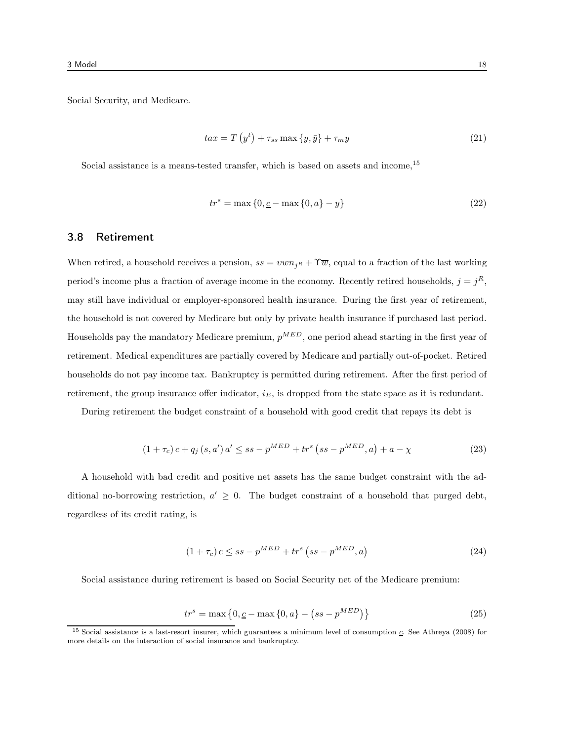Social Security, and Medicare.

$$
tax = T(yt) + \tau_{ss} \max\{y,\bar{y}\} + \tau_{m}y \tag{21}
$$

Social assistance is a means-tested transfer, which is based on assets and income,<sup>15</sup>

$$
trs = \max\{0, \underline{c} - \max\{0, a\} - y\}
$$
 (22)

# 3.8 Retirement

When retired, a household receives a pension,  $ss = v w n_{iR} + \tilde{\mathcal{T}w}$ , equal to a fraction of the last working period's income plus a fraction of average income in the economy. Recently retired households,  $j = j<sup>R</sup>$ , may still have individual or employer-sponsored health insurance. During the first year of retirement, the household is not covered by Medicare but only by private health insurance if purchased last period. Households pay the mandatory Medicare premium,  $p^{MED}$ , one period ahead starting in the first year of retirement. Medical expenditures are partially covered by Medicare and partially out-of-pocket. Retired households do not pay income tax. Bankruptcy is permitted during retirement. After the first period of retirement, the group insurance offer indicator,  $i_E$ , is dropped from the state space as it is redundant.

During retirement the budget constraint of a household with good credit that repays its debt is

$$
(1 + \tau_c) c + q_j (s, a') a' \le ss - p^{MED} + tr^s (ss - p^{MED}, a) + a - \chi
$$
\n(23)

A household with bad credit and positive net assets has the same budget constraint with the additional no-borrowing restriction,  $a' \geq 0$ . The budget constraint of a household that purged debt, regardless of its credit rating, is

$$
(1 + \tau_c) c \le ss - pMED + trs (ss - pMED, a)
$$
 (24)

Social assistance during retirement is based on Social Security net of the Medicare premium:

$$
trs = \max\left\{0, \underline{c} - \max\left\{0, a\right\} - \left(ss - p^{MED}\right)\right\}
$$
 (25)

<sup>&</sup>lt;sup>15</sup> Social assistance is a last-resort insurer, which guarantees a minimum level of consumption  $c$ . See Athreya (2008) for more details on the interaction of social insurance and bankruptcy.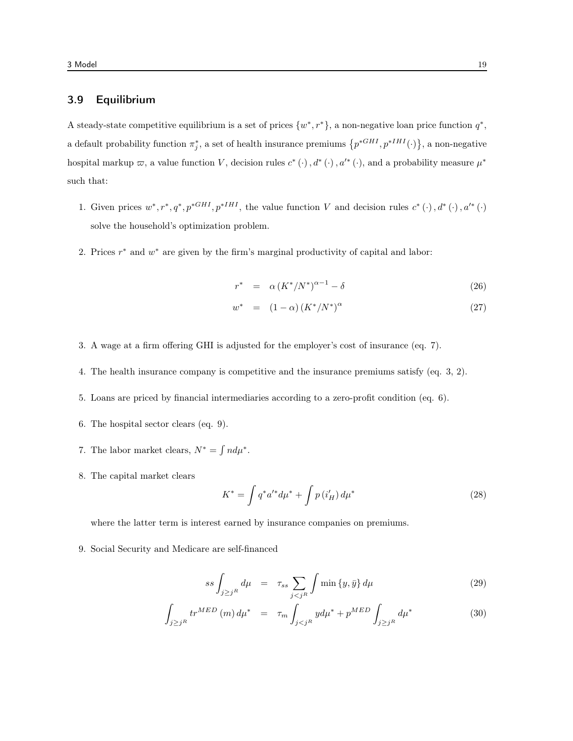# 3.9 Equilibrium

A steady-state competitive equilibrium is a set of prices  $\{w^*, r^*\}$ , a non-negative loan price function  $q^*$ , a default probability function  $\pi_j^*$ , a set of health insurance premiums  $\{p^{*GHI}, p^{*HH}(\cdot)\}\$ , a non-negative hospital markup  $\varpi$ , a value function V, decision rules  $c^*$  (·),  $d^*$  (·),  $a'^*$  (·), and a probability measure  $\mu^*$ such that:

- 1. Given prices  $w^*, r^*, q^*, p^{*GHI}, p^{*IHI},$  the value function V and decision rules  $c^*(\cdot), d^*(\cdot), a'^*(\cdot)$ solve the household's optimization problem.
- 2. Prices  $r^*$  and  $w^*$  are given by the firm's marginal productivity of capital and labor:

$$
r^* = \alpha \left( K^* / N^* \right)^{\alpha - 1} - \delta \tag{26}
$$

$$
w^* = (1 - \alpha) \left( K^* / N^* \right)^{\alpha} \tag{27}
$$

- 3. A wage at a firm offering GHI is adjusted for the employer's cost of insurance (eq. 7).
- 4. The health insurance company is competitive and the insurance premiums satisfy (eq. 3, 2).
- 5. Loans are priced by financial intermediaries according to a zero-profit condition (eq. 6).
- 6. The hospital sector clears (eq. 9).
- 7. The labor market clears,  $N^* = \int n d\mu^*$ .
- 8. The capital market clears

$$
K^* = \int q^* a'^* d\mu^* + \int p(i'_H) d\mu^* \tag{28}
$$

where the latter term is interest earned by insurance companies on premiums.

9. Social Security and Medicare are self-financed

$$
ss \int_{j \geq j^R} d\mu = \tau_{ss} \sum_{j < j^R} \int \min\{y, \bar{y}\} \, d\mu \tag{29}
$$

$$
\int_{j \ge j^R} tr^{MED} (m) d\mu^* = \tau_m \int_{j < j^R} y d\mu^* + p^{MED} \int_{j \ge j^R} d\mu^* \tag{30}
$$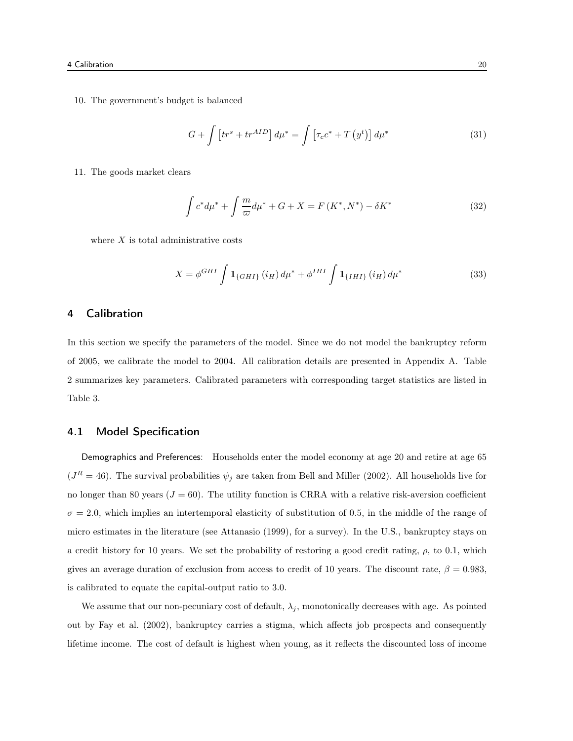10. The government's budget is balanced

$$
G + \int \left[ tr^s + tr^{AID} \right] d\mu^* = \int \left[ \tau_c c^* + T \left( y^t \right) \right] d\mu^* \tag{31}
$$

11. The goods market clears

$$
\int c^* d\mu^* + \int \frac{m}{\varpi} d\mu^* + G + X = F(K^*, N^*) - \delta K^*
$$
\n(32)

where  $X$  is total administrative costs

$$
X = \phi^{GHI} \int \mathbf{1}_{\{GHI\}}(i_H) d\mu^* + \phi^{IHI} \int \mathbf{1}_{\{IHI\}}(i_H) d\mu^*
$$
(33)

# 4 Calibration

In this section we specify the parameters of the model. Since we do not model the bankruptcy reform of 2005, we calibrate the model to 2004. All calibration details are presented in Appendix A. Table 2 summarizes key parameters. Calibrated parameters with corresponding target statistics are listed in Table 3.

# 4.1 Model Specification

Demographics and Preferences: Households enter the model economy at age 20 and retire at age 65  $(J<sup>R</sup> = 46)$ . The survival probabilities  $\psi_j$  are taken from Bell and Miller (2002). All households live for no longer than 80 years ( $J = 60$ ). The utility function is CRRA with a relative risk-aversion coefficient  $\sigma = 2.0$ , which implies an intertemporal elasticity of substitution of 0.5, in the middle of the range of micro estimates in the literature (see Attanasio (1999), for a survey). In the U.S., bankruptcy stays on a credit history for 10 years. We set the probability of restoring a good credit rating,  $\rho$ , to 0.1, which gives an average duration of exclusion from access to credit of 10 years. The discount rate,  $\beta = 0.983$ , is calibrated to equate the capital-output ratio to 3.0.

We assume that our non-pecuniary cost of default,  $\lambda_j$ , monotonically decreases with age. As pointed out by Fay et al. (2002), bankruptcy carries a stigma, which affects job prospects and consequently lifetime income. The cost of default is highest when young, as it reflects the discounted loss of income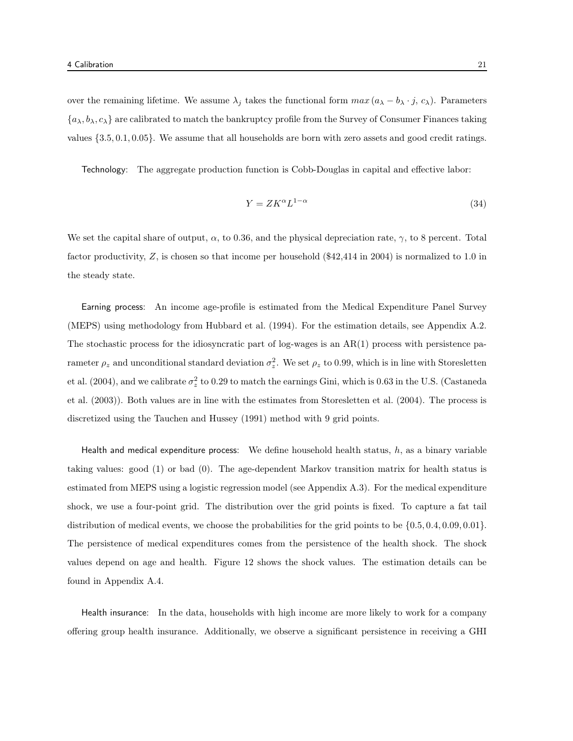over the remaining lifetime. We assume  $\lambda_j$  takes the functional form  $max(a_\lambda - b_\lambda \cdot j, c_\lambda)$ . Parameters  $\{a_{\lambda}, b_{\lambda}, c_{\lambda}\}\$  are calibrated to match the bankruptcy profile from the Survey of Consumer Finances taking values {3.5, 0.1, 0.05}. We assume that all households are born with zero assets and good credit ratings.

Technology: The aggregate production function is Cobb-Douglas in capital and effective labor:

$$
Y = ZK^{\alpha}L^{1-\alpha} \tag{34}
$$

We set the capital share of output,  $\alpha$ , to 0.36, and the physical depreciation rate,  $\gamma$ , to 8 percent. Total factor productivity, Z, is chosen so that income per household (\$42,414 in 2004) is normalized to 1.0 in the steady state.

Earning process: An income age-profile is estimated from the Medical Expenditure Panel Survey (MEPS) using methodology from Hubbard et al. (1994). For the estimation details, see Appendix A.2. The stochastic process for the idiosyncratic part of log-wages is an  $AR(1)$  process with persistence parameter  $\rho_z$  and unconditional standard deviation  $\sigma_z^2$ . We set  $\rho_z$  to 0.99, which is in line with Storesletten et al. (2004), and we calibrate  $\sigma_z^2$  to 0.29 to match the earnings Gini, which is 0.63 in the U.S. (Castaneda et al. (2003)). Both values are in line with the estimates from Storesletten et al. (2004). The process is discretized using the Tauchen and Hussey (1991) method with 9 grid points.

Health and medical expenditure process: We define household health status,  $h$ , as a binary variable taking values: good (1) or bad (0). The age-dependent Markov transition matrix for health status is estimated from MEPS using a logistic regression model (see Appendix A.3). For the medical expenditure shock, we use a four-point grid. The distribution over the grid points is fixed. To capture a fat tail distribution of medical events, we choose the probabilities for the grid points to be {0.5, 0.4, 0.09, 0.01}. The persistence of medical expenditures comes from the persistence of the health shock. The shock values depend on age and health. Figure 12 shows the shock values. The estimation details can be found in Appendix A.4.

Health insurance: In the data, households with high income are more likely to work for a company offering group health insurance. Additionally, we observe a significant persistence in receiving a GHI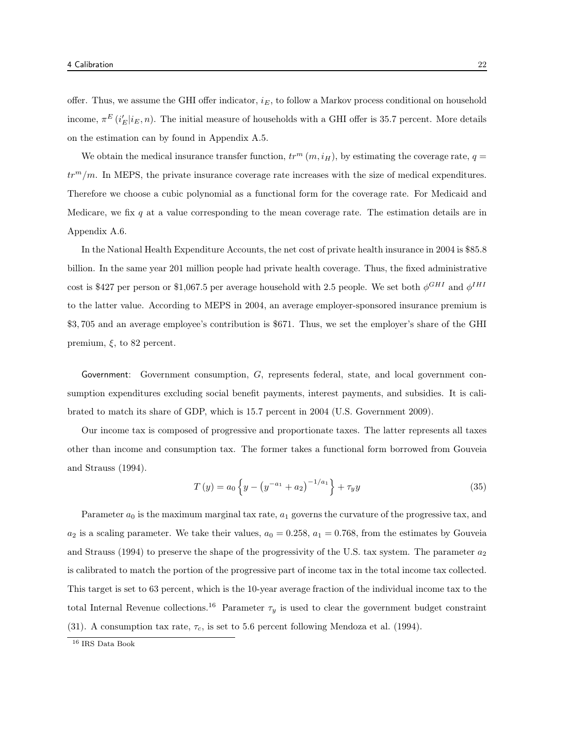offer. Thus, we assume the GHI offer indicator,  $i_E$ , to follow a Markov process conditional on household income,  $\pi^{E}(i'_{E}|i_{E}, n)$ . The initial measure of households with a GHI offer is 35.7 percent. More details on the estimation can by found in Appendix A.5.

We obtain the medical insurance transfer function,  $tr^m(m, i_H)$ , by estimating the coverage rate,  $q =$  $tr<sup>m</sup>/m$ . In MEPS, the private insurance coverage rate increases with the size of medical expenditures. Therefore we choose a cubic polynomial as a functional form for the coverage rate. For Medicaid and Medicare, we fix q at a value corresponding to the mean coverage rate. The estimation details are in Appendix A.6.

In the National Health Expenditure Accounts, the net cost of private health insurance in 2004 is \$85.8 billion. In the same year 201 million people had private health coverage. Thus, the fixed administrative cost is \$427 per person or \$1,067.5 per average household with 2.5 people. We set both  $\phi^{GHI}$  and  $\phi^{IHI}$ to the latter value. According to MEPS in 2004, an average employer-sponsored insurance premium is \$3, 705 and an average employee's contribution is \$671. Thus, we set the employer's share of the GHI premium,  $\xi$ , to 82 percent.

Government: Government consumption, G, represents federal, state, and local government consumption expenditures excluding social benefit payments, interest payments, and subsidies. It is calibrated to match its share of GDP, which is 15.7 percent in 2004 (U.S. Government 2009).

Our income tax is composed of progressive and proportionate taxes. The latter represents all taxes other than income and consumption tax. The former takes a functional form borrowed from Gouveia and Strauss (1994).

$$
T(y) = a_0 \left\{ y - \left( y^{-a_1} + a_2 \right)^{-1/a_1} \right\} + \tau_y y \tag{35}
$$

Parameter  $a_0$  is the maximum marginal tax rate,  $a_1$  governs the curvature of the progressive tax, and  $a_2$  is a scaling parameter. We take their values,  $a_0 = 0.258$ ,  $a_1 = 0.768$ , from the estimates by Gouveia and Strauss (1994) to preserve the shape of the progressivity of the U.S. tax system. The parameter  $a_2$ is calibrated to match the portion of the progressive part of income tax in the total income tax collected. This target is set to 63 percent, which is the 10-year average fraction of the individual income tax to the total Internal Revenue collections.<sup>16</sup> Parameter  $\tau_y$  is used to clear the government budget constraint (31). A consumption tax rate,  $\tau_c$ , is set to 5.6 percent following Mendoza et al. (1994).

<sup>16</sup> IRS Data Book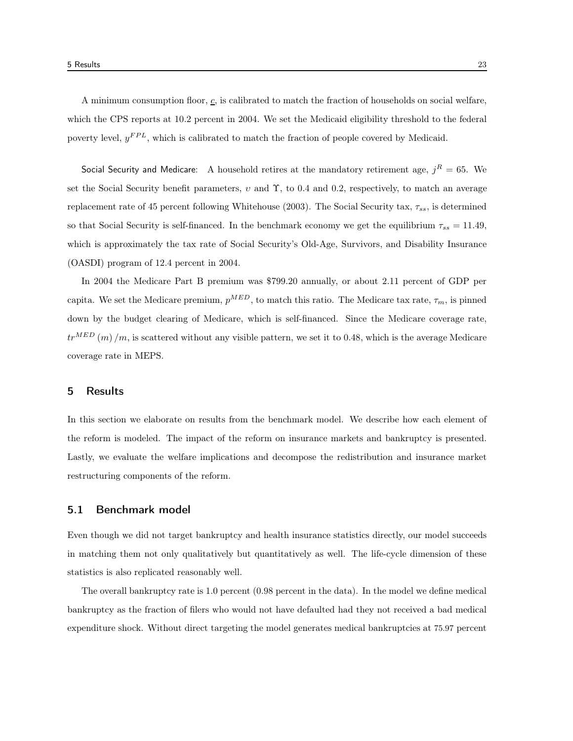A minimum consumption floor,  $c$ , is calibrated to match the fraction of households on social welfare, which the CPS reports at 10.2 percent in 2004. We set the Medicaid eligibility threshold to the federal poverty level,  $y^{FPL}$ , which is calibrated to match the fraction of people covered by Medicaid.

Social Security and Medicare: A household retires at the mandatory retirement age,  $j^R = 65$ . We set the Social Security benefit parameters,  $v$  and  $\Upsilon$ , to 0.4 and 0.2, respectively, to match an average replacement rate of 45 percent following Whitehouse (2003). The Social Security tax,  $\tau_{ss}$ , is determined so that Social Security is self-financed. In the benchmark economy we get the equilibrium  $\tau_{ss} = 11.49$ , which is approximately the tax rate of Social Security's Old-Age, Survivors, and Disability Insurance (OASDI) program of 12.4 percent in 2004.

In 2004 the Medicare Part B premium was \$799.20 annually, or about 2.11 percent of GDP per capita. We set the Medicare premium,  $p^{MED}$ , to match this ratio. The Medicare tax rate,  $\tau_m$ , is pinned down by the budget clearing of Medicare, which is self-financed. Since the Medicare coverage rate,  $tr^{MED}(m)/m$ , is scattered without any visible pattern, we set it to 0.48, which is the average Medicare coverage rate in MEPS.

# 5 Results

In this section we elaborate on results from the benchmark model. We describe how each element of the reform is modeled. The impact of the reform on insurance markets and bankruptcy is presented. Lastly, we evaluate the welfare implications and decompose the redistribution and insurance market restructuring components of the reform.

# 5.1 Benchmark model

Even though we did not target bankruptcy and health insurance statistics directly, our model succeeds in matching them not only qualitatively but quantitatively as well. The life-cycle dimension of these statistics is also replicated reasonably well.

The overall bankruptcy rate is 1.0 percent (0.98 percent in the data). In the model we define medical bankruptcy as the fraction of filers who would not have defaulted had they not received a bad medical expenditure shock. Without direct targeting the model generates medical bankruptcies at 75.97 percent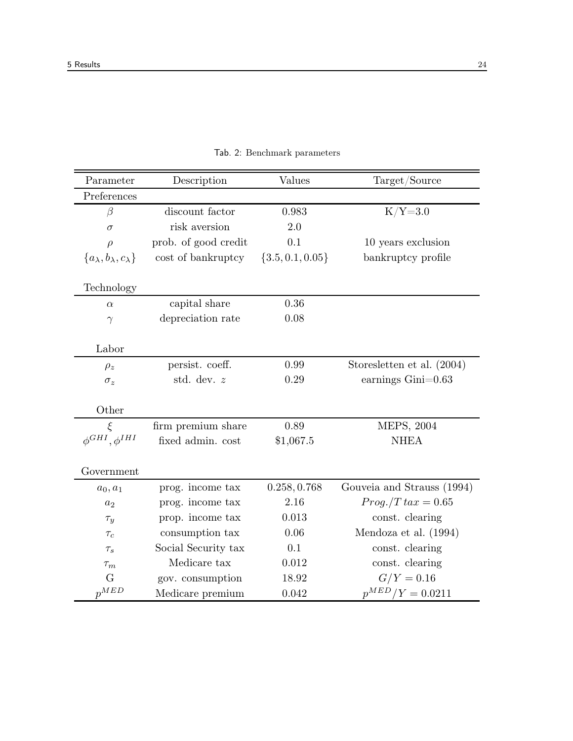| Parameter                               | Description          | Values               | Target/Source              |
|-----------------------------------------|----------------------|----------------------|----------------------------|
| Preferences                             |                      |                      |                            |
| $\beta$                                 | discount factor      | 0.983                | $K/Y=3.0$                  |
| $\sigma$                                | risk aversion        | 2.0                  |                            |
| $\rho$                                  | prob. of good credit | 0.1                  | 10 years exclusion         |
| ${a_{\lambda},b_{\lambda},c_{\lambda}}$ | cost of bankruptcy   | $\{3.5, 0.1, 0.05\}$ | bankruptcy profile         |
| Technology                              |                      |                      |                            |
| $\alpha$                                | capital share        | 0.36                 |                            |
| $\gamma$                                | depreciation rate    | 0.08                 |                            |
|                                         |                      |                      |                            |
| Labor                                   |                      |                      |                            |
| $\rho_z$                                | persist. coeff.      | 0.99                 | Storesletten et al. (2004) |
| $\sigma_z$                              | std. dev. z          | 0.29                 | earnings $Gini=0.63$       |
|                                         |                      |                      |                            |
| Other                                   |                      |                      |                            |
| $\xi$                                   | firm premium share   | 0.89                 | MEPS, 2004                 |
| $\phi^{GHI}, \phi^{IHI}$                | fixed admin. cost    | \$1,067.5            | <b>NHEA</b>                |
|                                         |                      |                      |                            |
| Government                              |                      |                      |                            |
| $a_0, a_1$                              | prog. income tax     | 0.258, 0.768         | Gouveia and Strauss (1994) |
| $a_2$                                   | prog. income tax     | 2.16                 | $Prog./T\,tax=0.65$        |
| $\tau_y$                                | prop. income tax     | 0.013                | const. clearing            |
| $\tau_c$                                | consumption tax      | 0.06                 | Mendoza et al. (1994)      |
| $\tau_s$                                | Social Security tax  | 0.1                  | const. clearing            |
| $\tau_m$                                | Medicare tax         | 0.012                | const. clearing            |
| G                                       | gov. consumption     | 18.92                | $G/Y = 0.16$               |
| $p^{MED}$                               | Medicare premium     | 0.042                | $p^{MED}/Y = 0.0211$       |

Tab. 2: Benchmark parameters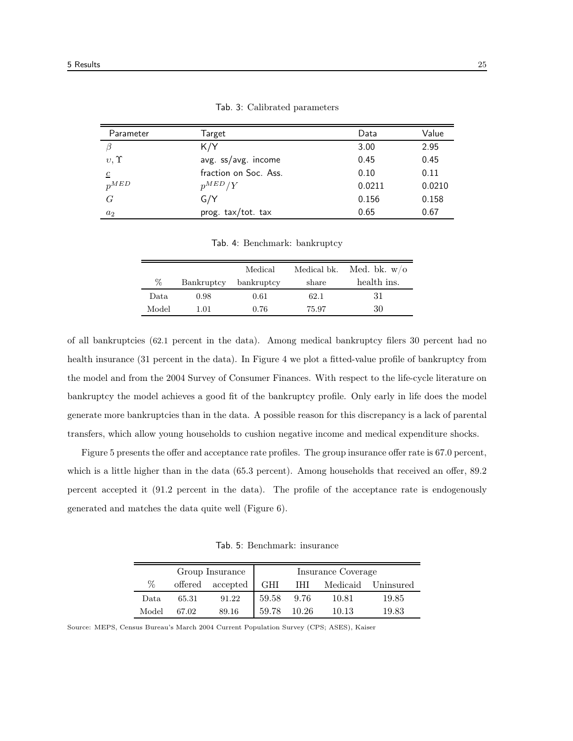| Parameter      | Target                | Data   | Value  |
|----------------|-----------------------|--------|--------|
|                | K/Y                   | 3.00   | 2.95   |
| $v, \Upsilon$  | avg. ss/avg. income   | 0.45   | 0.45   |
| $\mathfrak{c}$ | fraction on Soc. Ass. | 0.10   | 0.11   |
| $p^{MED}$      | $p^{MED}/Y$           | 0.0211 | 0.0210 |
| G              | G/Y                   | 0.156  | 0.158  |
| $a_2$          | prog. tax/tot. tax    | 0.65   | 0.67   |

Tab. 3: Calibrated parameters

Tab. 4: Benchmark: bankruptcy

|       |            | Medical    | Medical bk. | Med. bk. $w/o$ |
|-------|------------|------------|-------------|----------------|
| %     | Bankruptcy | bankruptcy | share       | health ins.    |
| Data. | 0.98       | 0.61       | 62.1        | -31            |
| Model | 1.01       | 0.76       | 75.97       | 30             |

of all bankruptcies (62.1 percent in the data). Among medical bankruptcy filers 30 percent had no health insurance (31 percent in the data). In Figure 4 we plot a fitted-value profile of bankruptcy from the model and from the 2004 Survey of Consumer Finances. With respect to the life-cycle literature on bankruptcy the model achieves a good fit of the bankruptcy profile. Only early in life does the model generate more bankruptcies than in the data. A possible reason for this discrepancy is a lack of parental transfers, which allow young households to cushion negative income and medical expenditure shocks.

Figure 5 presents the offer and acceptance rate profiles. The group insurance offer rate is 67.0 percent, which is a little higher than in the data (65.3 percent). Among households that received an offer, 89.2 percent accepted it (91.2 percent in the data). The profile of the acceptance rate is endogenously generated and matches the data quite well (Figure 6).

Tab. 5: Benchmark: insurance

|       |                  | Group Insurance |       |       | Insurance Coverage |                        |
|-------|------------------|-----------------|-------|-------|--------------------|------------------------|
| %     | offered accepted |                 |       |       |                    | IHI Medicaid Uninsured |
| Data  | 65.31            | 91.22           | 59.58 | 9.76  | 10.81              | 19.85                  |
| Model | 67.02            | 89.16           | 59.78 | 10.26 | 10.13              | 19.83                  |

Source: MEPS, Census Bureau's March 2004 Current Population Survey (CPS; ASES), Kaiser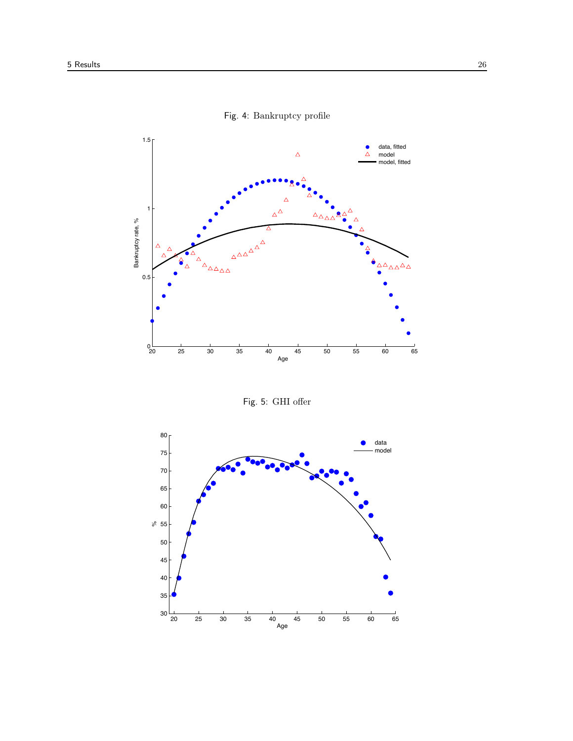

Fig. 4: Bankruptcy profile

Fig. 5: GHI offer

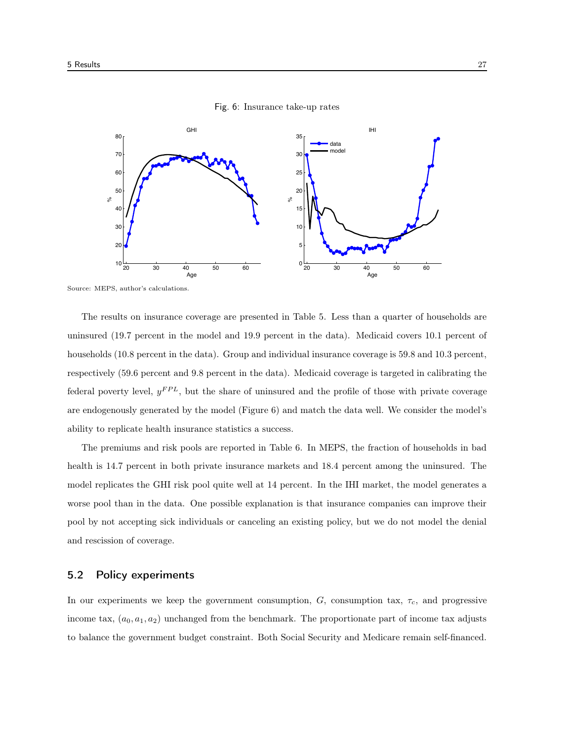

Fig. 6: Insurance take-up rates

Source: MEPS, author's calculations.

The results on insurance coverage are presented in Table 5. Less than a quarter of households are uninsured (19.7 percent in the model and 19.9 percent in the data). Medicaid covers 10.1 percent of households (10.8 percent in the data). Group and individual insurance coverage is 59.8 and 10.3 percent, respectively (59.6 percent and 9.8 percent in the data). Medicaid coverage is targeted in calibrating the federal poverty level,  $y^{FPL}$ , but the share of uninsured and the profile of those with private coverage are endogenously generated by the model (Figure 6) and match the data well. We consider the model's ability to replicate health insurance statistics a success.

The premiums and risk pools are reported in Table 6. In MEPS, the fraction of households in bad health is 14.7 percent in both private insurance markets and 18.4 percent among the uninsured. The model replicates the GHI risk pool quite well at 14 percent. In the IHI market, the model generates a worse pool than in the data. One possible explanation is that insurance companies can improve their pool by not accepting sick individuals or canceling an existing policy, but we do not model the denial and rescission of coverage.

# 5.2 Policy experiments

In our experiments we keep the government consumption,  $G$ , consumption tax,  $\tau_c$ , and progressive income tax,  $(a_0, a_1, a_2)$  unchanged from the benchmark. The proportionate part of income tax adjusts to balance the government budget constraint. Both Social Security and Medicare remain self-financed.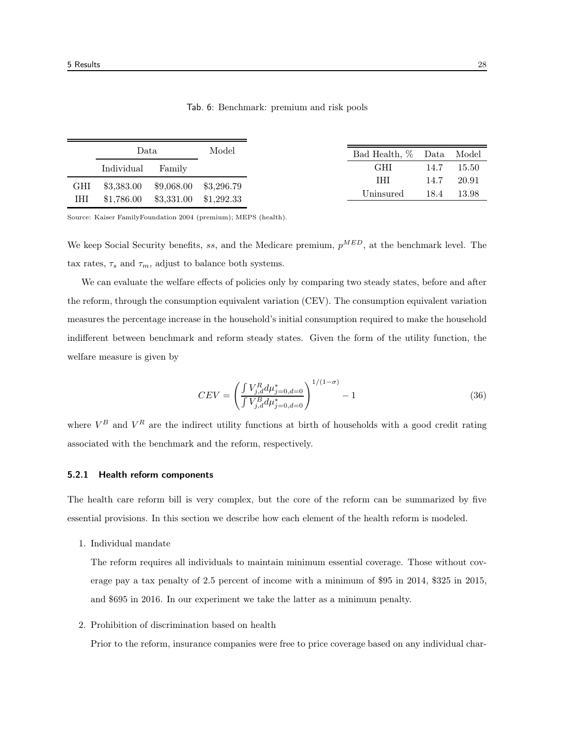|     | Data.      |                                     | Model | Bad Health, % Data Model |      |       |
|-----|------------|-------------------------------------|-------|--------------------------|------|-------|
|     | Individual | Family                              |       | <b>GHI</b>               | 14.7 | 15.50 |
| GHI |            | $$3,383.00$ $$9,068.00$ $$3,296.79$ |       | <b>THT</b>               | 14.7 | 20.91 |
| IHI |            | $$1,786.00$ $$3,331.00$ $$1,292.33$ |       | Uninsured                | 18.4 | 13.98 |
|     |            |                                     |       |                          |      |       |

Tab. 6: Benchmark: premium and risk pools

Source: Kaiser FamilyFoundation 2004 (premium); MEPS (health).

We keep Social Security benefits, ss, and the Medicare premium,  $p^{MED}$ , at the benchmark level. The tax rates,  $\tau_s$  and  $\tau_m$ , adjust to balance both systems.

We can evaluate the welfare effects of policies only by comparing two steady states, before and after the reform, through the consumption equivalent variation (CEV). The consumption equivalent variation measures the percentage increase in the household's initial consumption required to make the household indifferent between benchmark and reform steady states. Given the form of the utility function, the welfare measure is given by

$$
CEV = \left(\frac{\int V_{j,d}^{R} d\mu_{j=0,d=0}^{*}}{\int V_{j,d}^{B} d\mu_{j=0,d=0}^{*}}\right)^{1/(1-\sigma)} - 1
$$
\n(36)

where  $V^B$  and  $V^R$  are the indirect utility functions at birth of households with a good credit rating associated with the benchmark and the reform, respectively.

#### 5.2.1 Health reform components

The health care reform bill is very complex, but the core of the reform can be summarized by five essential provisions. In this section we describe how each element of the health reform is modeled.

1. Individual mandate

The reform requires all individuals to maintain minimum essential coverage. Those without coverage pay a tax penalty of 2.5 percent of income with a minimum of \$95 in 2014, \$325 in 2015, and \$695 in 2016. In our experiment we take the latter as a minimum penalty.

2. Prohibition of discrimination based on health

Prior to the reform, insurance companies were free to price coverage based on any individual char-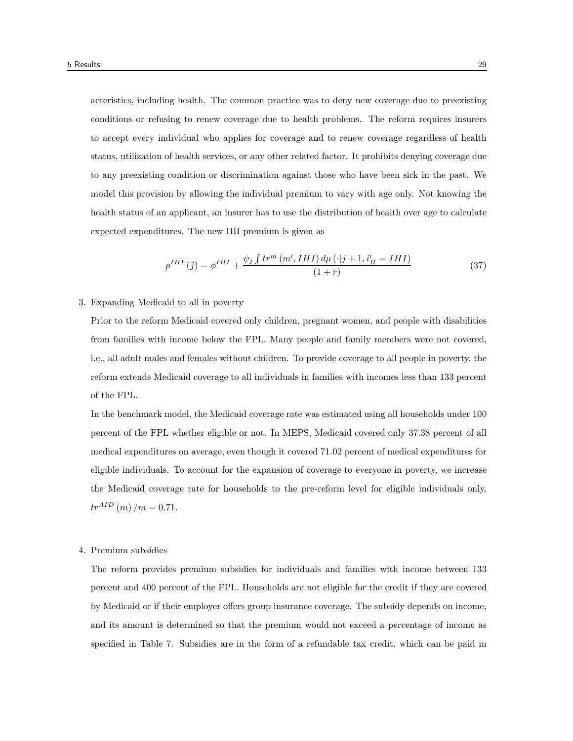acteristics, including health. The common practice was to deny new coverage due to preexisting conditions or refusing to renew coverage due to health problems. The reform requires insurers to accept every individual who applies for coverage and to renew coverage regardless of health status, utilization of health services, or any other related factor. It prohibits denying coverage due to any preexisting condition or discrimination against those who have been sick in the past. We model this provision by allowing the individual premium to vary with age only. Not knowing the health status of an applicant, an insurer has to use the distribution of health over age to calculate expected expenditures. The new IHI premium is given as

$$
p^{IHI}(j) = \phi^{IHI} + \frac{\psi_j \int tr^m \left( m', IHI \right) d\mu \left( \cdot | j+1, i'_H = IHI \right)}{(1+r)}
$$
\n
$$
(37)
$$

#### 3. Expanding Medicaid to all in poverty

Prior to the reform Medicaid covered only children, pregnant women, and people with disabilities from families with income below the FPL. Many people and family members were not covered, i.e., all adult males and females without children. To provide coverage to all people in poverty, the reform extends Medicaid coverage to all individuals in families with incomes less than 133 percent of the FPL.

In the benchmark model, the Medicaid coverage rate was estimated using all households under 100 percent of the FPL whether eligible or not. In MEPS, Medicaid covered only 37.38 percent of all medical expenditures on average, even though it covered 71.02 percent of medical expenditures for eligible individuals. To account for the expansion of coverage to everyone in poverty, we increase the Medicaid coverage rate for households to the pre-reform level for eligible individuals only,  $tr^{AID}$  (*m*) /*m* = 0.71.

#### 4. Premium subsidies

The reform provides premium subsidies for individuals and families with income between 133 percent and 400 percent of the FPL. Households are not eligible for the credit if they are covered by Medicaid or if their employer offers group insurance coverage. The subsidy depends on income, and its amount is determined so that the premium would not exceed a percentage of income as specified in Table 7. Subsidies are in the form of a refundable tax credit, which can be paid in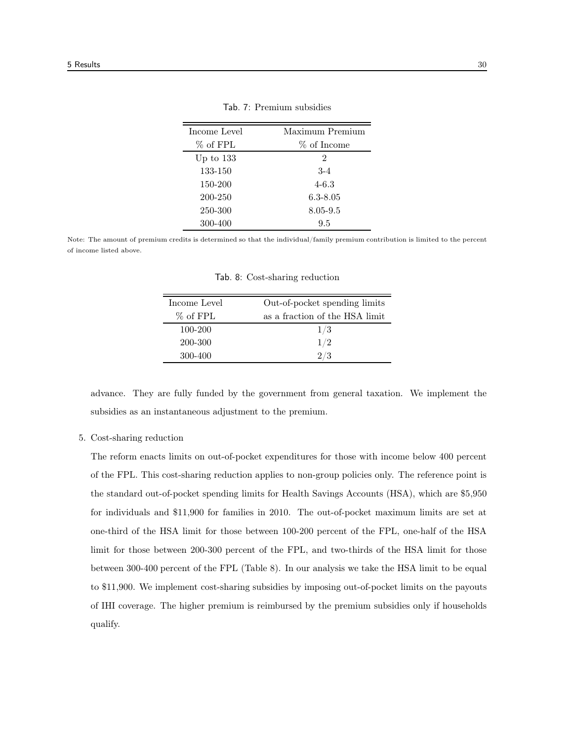| Income Level | Maximum Premium |
|--------------|-----------------|
| % of FPL     | % of Income     |
| Up to $133$  | $\mathfrak{D}$  |
| 133-150      | $3-4$           |
| 150-200      | $4 - 6.3$       |
| 200-250      | $6.3 - 8.05$    |
| 250-300      | 8.05-9.5        |
| 300-400      | 9.5             |

Tab. 7: Premium subsidies

Note: The amount of premium credits is determined so that the individual/family premium contribution is limited to the percent of income listed above.

| Income Level | Out-of-pocket spending limits  |
|--------------|--------------------------------|
| % of FPL     | as a fraction of the HSA limit |
| 100-200      | 1/3                            |
| 200-300      | 1/2                            |
| 300-400      | 2/3                            |

Tab. 8: Cost-sharing reduction

advance. They are fully funded by the government from general taxation. We implement the subsidies as an instantaneous adjustment to the premium.

# 5. Cost-sharing reduction

The reform enacts limits on out-of-pocket expenditures for those with income below 400 percent of the FPL. This cost-sharing reduction applies to non-group policies only. The reference point is the standard out-of-pocket spending limits for Health Savings Accounts (HSA), which are \$5,950 for individuals and \$11,900 for families in 2010. The out-of-pocket maximum limits are set at one-third of the HSA limit for those between 100-200 percent of the FPL, one-half of the HSA limit for those between 200-300 percent of the FPL, and two-thirds of the HSA limit for those between 300-400 percent of the FPL (Table 8). In our analysis we take the HSA limit to be equal to \$11,900. We implement cost-sharing subsidies by imposing out-of-pocket limits on the payouts of IHI coverage. The higher premium is reimbursed by the premium subsidies only if households qualify.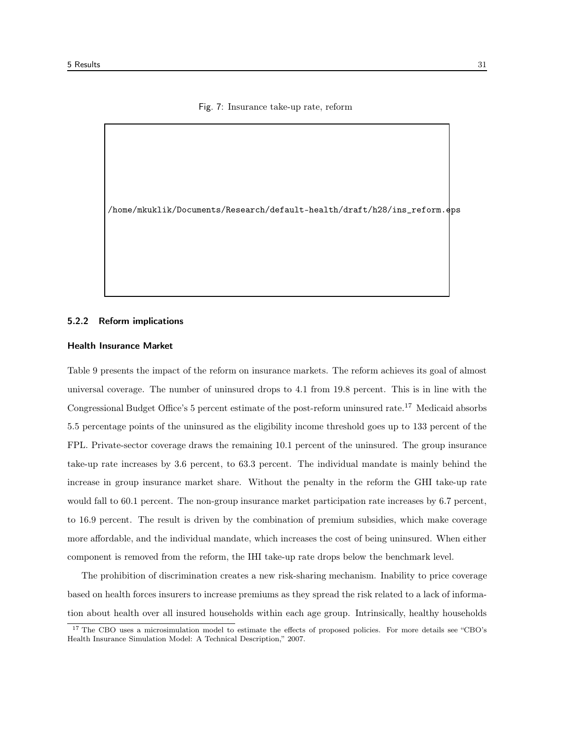#### Fig. 7: Insurance take-up rate, reform

/home/mkuklik/Documents/Research/default-health/draft/h28/ins\_reform.eps

#### 5.2.2 Reform implications

#### Health Insurance Market

Table 9 presents the impact of the reform on insurance markets. The reform achieves its goal of almost universal coverage. The number of uninsured drops to 4.1 from 19.8 percent. This is in line with the Congressional Budget Office's 5 percent estimate of the post-reform uninsured rate.<sup>17</sup> Medicaid absorbs 5.5 percentage points of the uninsured as the eligibility income threshold goes up to 133 percent of the FPL. Private-sector coverage draws the remaining 10.1 percent of the uninsured. The group insurance take-up rate increases by 3.6 percent, to 63.3 percent. The individual mandate is mainly behind the increase in group insurance market share. Without the penalty in the reform the GHI take-up rate would fall to 60.1 percent. The non-group insurance market participation rate increases by 6.7 percent, to 16.9 percent. The result is driven by the combination of premium subsidies, which make coverage more affordable, and the individual mandate, which increases the cost of being uninsured. When either component is removed from the reform, the IHI take-up rate drops below the benchmark level.

The prohibition of discrimination creates a new risk-sharing mechanism. Inability to price coverage based on health forces insurers to increase premiums as they spread the risk related to a lack of information about health over all insured households within each age group. Intrinsically, healthy households

<sup>&</sup>lt;sup>17</sup> The CBO uses a microsimulation model to estimate the effects of proposed policies. For more details see "CBO's Health Insurance Simulation Model: A Technical Description," 2007.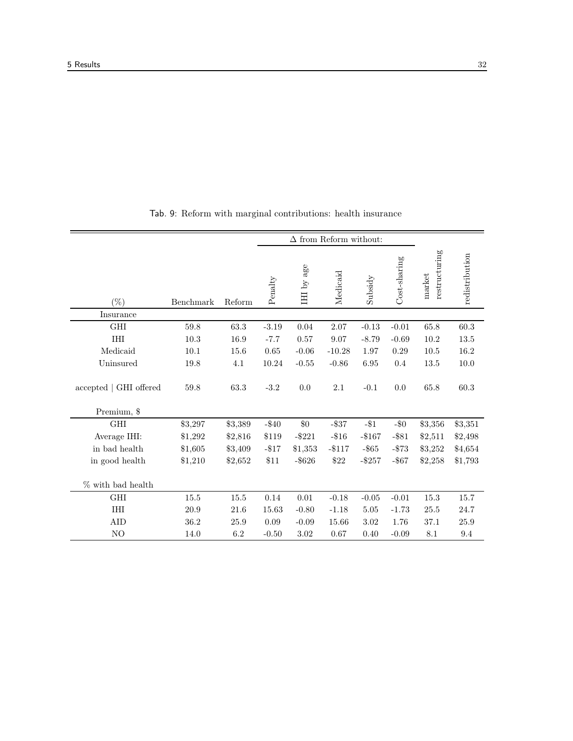|                                              | $\Delta$ from Reform without: |         |               |            |           |           |              |                         |                |
|----------------------------------------------|-------------------------------|---------|---------------|------------|-----------|-----------|--------------|-------------------------|----------------|
| $(\%)$                                       | Benchmark                     | Reform  | $\rm Penalty$ | IHI by age | Medicaid  | Subsidy   | Cost-sharing | restructuring<br>market | redistribution |
| Insurance                                    |                               |         |               |            |           |           |              |                         |                |
| <b>GHI</b>                                   | 59.8                          | 63.3    | $-3.19$       | 0.04       | 2.07      | $-0.13$   | $-0.01$      | 65.8                    | 60.3           |
| <b>IHI</b>                                   | 10.3                          | 16.9    | $-7.7$        | 0.57       | 9.07      | $-8.79$   | $-0.69$      | 10.2                    | 13.5           |
| Medicaid                                     | 10.1                          | 15.6    | 0.65          | $-0.06$    | $-10.28$  | 1.97      | 0.29         | 10.5                    | 16.2           |
| Uninsured                                    | 19.8                          | 4.1     | 10.24         | $-0.55$    | $-0.86$   | $6.95\,$  | 0.4          | 13.5                    | 10.0           |
| $\rm{accepted}$   GHI offered<br>Premium, \$ | 59.8                          | 63.3    | $-3.2$        | 0.0        | 2.1       | $-0.1$    | 0.0          | 65.8                    | 60.3           |
| <b>GHI</b>                                   | \$3,297                       | \$3,389 | $-\$40$       | $\$0$      | $-$ \$37  | $-$ \$1   | $-\$0$       | \$3,356                 | \$3,351        |
| Average IHI:                                 | \$1,292                       | \$2,816 | \$119         | $-$ \$221  | $-\$16$   | $- $167$  | $-$ \$81     | \$2,511                 | \$2,498        |
| in bad health                                | \$1,605                       | \$3,409 | $-817$        | \$1,353    | $-$ \$117 | $-$ \$65  | $- $73$      | \$3,252                 | \$4,654        |
| in good health                               | \$1,210                       | \$2,652 | \$11          | $-$ \$626  | \$22      | $-$ \$257 | $-$ \$67     | \$2,258                 | \$1,793        |
| $\%$ with bad health                         |                               |         |               |            |           |           |              |                         |                |
| <b>GHI</b>                                   | 15.5                          | 15.5    | 0.14          | 0.01       | $-0.18$   | $-0.05$   | $-0.01$      | 15.3                    | 15.7           |
| <b>IHI</b>                                   | 20.9                          | 21.6    | 15.63         | $-0.80$    | $-1.18$   | 5.05      | $-1.73$      | 25.5                    | 24.7           |
| <b>AID</b>                                   | 36.2                          | 25.9    | 0.09          | $-0.09$    | 15.66     | 3.02      | 1.76         | 37.1                    | 25.9           |
| N <sub>O</sub>                               | 14.0                          | 6.2     | $-0.50$       | 3.02       | 0.67      | 0.40      | $-0.09$      | 8.1                     | 9.4            |

Tab. 9: Reform with marginal contributions: health insurance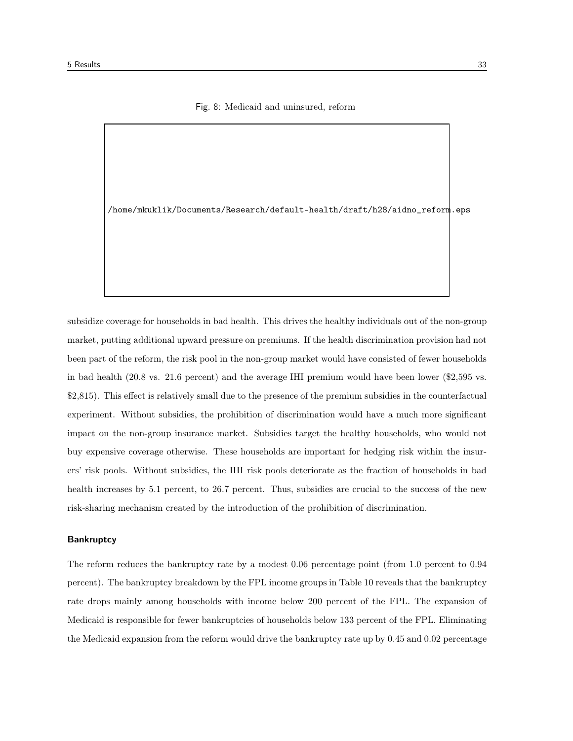#### Fig. 8: Medicaid and uninsured, reform

/home/mkuklik/Documents/Research/default-health/draft/h28/aidno\_reform.eps

subsidize coverage for households in bad health. This drives the healthy individuals out of the non-group market, putting additional upward pressure on premiums. If the health discrimination provision had not been part of the reform, the risk pool in the non-group market would have consisted of fewer households in bad health (20.8 vs. 21.6 percent) and the average IHI premium would have been lower (\$2,595 vs. \$2,815). This effect is relatively small due to the presence of the premium subsidies in the counterfactual experiment. Without subsidies, the prohibition of discrimination would have a much more significant impact on the non-group insurance market. Subsidies target the healthy households, who would not buy expensive coverage otherwise. These households are important for hedging risk within the insurers' risk pools. Without subsidies, the IHI risk pools deteriorate as the fraction of households in bad health increases by 5.1 percent, to 26.7 percent. Thus, subsidies are crucial to the success of the new risk-sharing mechanism created by the introduction of the prohibition of discrimination.

#### **Bankruptcy**

The reform reduces the bankruptcy rate by a modest 0.06 percentage point (from 1.0 percent to 0.94 percent). The bankruptcy breakdown by the FPL income groups in Table 10 reveals that the bankruptcy rate drops mainly among households with income below 200 percent of the FPL. The expansion of Medicaid is responsible for fewer bankruptcies of households below 133 percent of the FPL. Eliminating the Medicaid expansion from the reform would drive the bankruptcy rate up by 0.45 and 0.02 percentage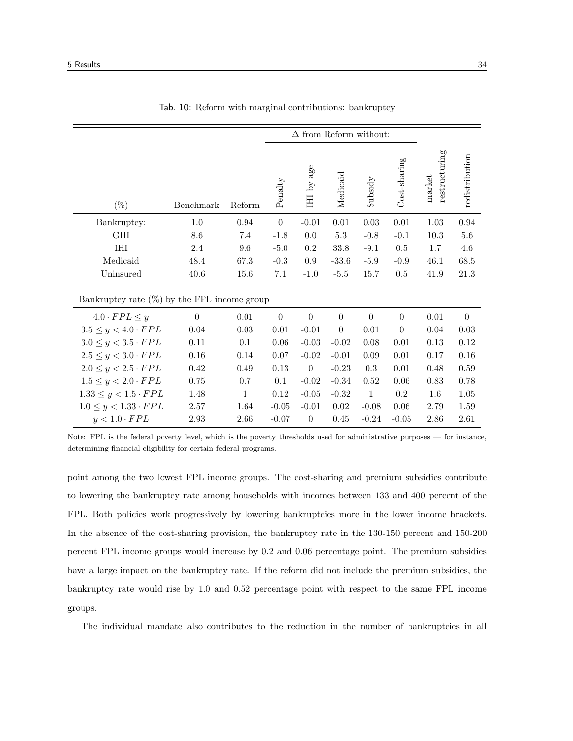|                                                | $\Delta$ from Reform without: |              |                  |                  |                  |                  |                  |                         |                |
|------------------------------------------------|-------------------------------|--------------|------------------|------------------|------------------|------------------|------------------|-------------------------|----------------|
| $(\%)$                                         | Benchmark                     | Reform       | Penalty          | IHI by age       | Medicaid         | Subsidy          | Cost-sharing     | restructuring<br>market | redistribution |
| Bankruptcy:                                    | 1.0                           | 0.94         | $\boldsymbol{0}$ | $-0.01$          | 0.01             | $0.03\,$         | $0.01\,$         | 1.03                    | 0.94           |
| <b>GHI</b>                                     | 8.6                           | 7.4          | $-1.8$           | 0.0              | 5.3              | $-0.8$           | $-0.1$           | 10.3                    | $5.6\,$        |
| <b>THT</b>                                     | 2.4                           | 9.6          | $-5.0$           | 0.2              | 33.8             | $-9.1$           | 0.5              | 1.7                     | 4.6            |
| Medicaid                                       | 48.4                          | 67.3         | $-0.3$           | 0.9              | $-33.6$          | $-5.9$           | $-0.9$           | 46.1                    | 68.5           |
| Uninsured                                      | 40.6                          | 15.6         | $7.1\,$          | $-1.0$           | $-5.5$           | 15.7             | $0.5\,$          | 41.9                    | 21.3           |
| Bankruptcy rate $(\%)$ by the FPL income group |                               |              |                  |                  |                  |                  |                  |                         |                |
| $4.0 \cdot FPL \leq y$                         | $\boldsymbol{0}$              | 0.01         | $\boldsymbol{0}$ | $\boldsymbol{0}$ | $\boldsymbol{0}$ | $\boldsymbol{0}$ | $\boldsymbol{0}$ | 0.01                    | $\theta$       |
| $3.5 \leq y < 4.0 \cdot FPL$                   | 0.04                          | 0.03         | $0.01\,$         | $-0.01$          | $\boldsymbol{0}$ | 0.01             | $\boldsymbol{0}$ | 0.04                    | 0.03           |
| $3.0 \leq y < 3.5 \cdot FPL$                   | $0.11\,$                      | 0.1          | $0.06\,$         | $-0.03$          | $-0.02$          | $0.08\,$         | $0.01\,$         | $0.13\,$                | $0.12\,$       |
| $2.5 \leq y < 3.0 \cdot FPL$                   | 0.16                          | 0.14         | 0.07             | $-0.02$          | $-0.01$          | 0.09             | 0.01             | 0.17                    | 0.16           |
| $2.0 \leq y < 2.5 \cdot FPL$                   | 0.42                          | 0.49         | 0.13             | $\overline{0}$   | $-0.23$          | 0.3              | $0.01\,$         | 0.48                    | $0.59\,$       |
| $1.5 \leq y < 2.0 \cdot FPL$                   | 0.75                          | 0.7          | 0.1              | $-0.02$          | $-0.34$          | 0.52             | $0.06\,$         | 0.83                    | 0.78           |
| $1.33 \leq y < 1.5 \cdot FPL$                  | 1.48                          | $\mathbf{1}$ | 0.12             | $-0.05$          | $-0.32$          | $\mathbf{1}$     | $0.2\,$          | 1.6                     | $1.05\,$       |
| $1.0 \leq y < 1.33 \cdot FPL$                  | 2.57                          | 1.64         | $-0.05$          | $-0.01$          | 0.02             | $-0.08$          | $0.06\,$         | 2.79                    | 1.59           |
| $y < 1.0 \cdot FPL$                            | 2.93                          | 2.66         | $-0.07$          | $\boldsymbol{0}$ | 0.45             | $-0.24$          | $-0.05$          | 2.86                    | 2.61           |

| Tab. 10: Reform with marginal contributions: bankruptcy |  |
|---------------------------------------------------------|--|
|---------------------------------------------------------|--|

Note: FPL is the federal poverty level, which is the poverty thresholds used for administrative purposes — for instance, determining financial eligibility for certain federal programs.

point among the two lowest FPL income groups. The cost-sharing and premium subsidies contribute to lowering the bankruptcy rate among households with incomes between 133 and 400 percent of the FPL. Both policies work progressively by lowering bankruptcies more in the lower income brackets. In the absence of the cost-sharing provision, the bankruptcy rate in the 130-150 percent and 150-200 percent FPL income groups would increase by 0.2 and 0.06 percentage point. The premium subsidies have a large impact on the bankruptcy rate. If the reform did not include the premium subsidies, the bankruptcy rate would rise by 1.0 and 0.52 percentage point with respect to the same FPL income groups.

The individual mandate also contributes to the reduction in the number of bankruptcies in all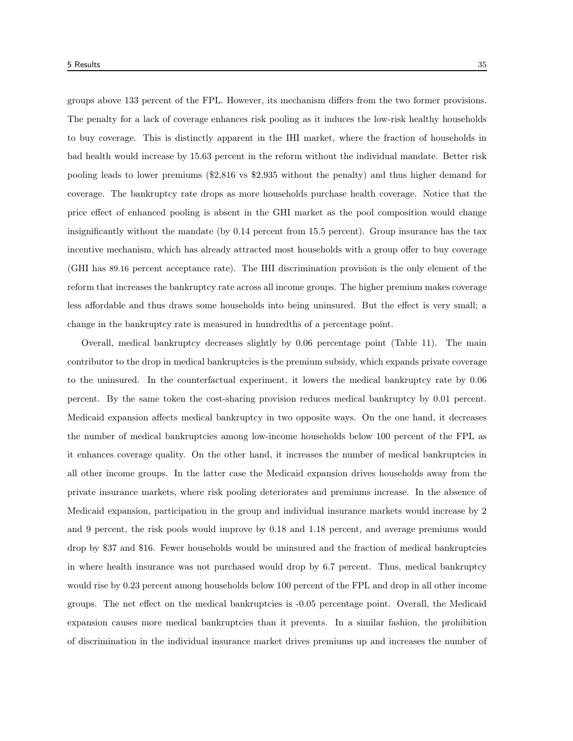groups above 133 percent of the FPL. However, its mechanism differs from the two former provisions. The penalty for a lack of coverage enhances risk pooling as it induces the low-risk healthy households to buy coverage. This is distinctly apparent in the IHI market, where the fraction of households in bad health would increase by 15.63 percent in the reform without the individual mandate. Better risk pooling leads to lower premiums (\$2,816 vs \$2,935 without the penalty) and thus higher demand for coverage. The bankruptcy rate drops as more households purchase health coverage. Notice that the price effect of enhanced pooling is absent in the GHI market as the pool composition would change insignificantly without the mandate (by 0.14 percent from 15.5 percent). Group insurance has the tax incentive mechanism, which has already attracted most households with a group offer to buy coverage (GHI has 89.16 percent acceptance rate). The IHI discrimination provision is the only element of the reform that increases the bankruptcy rate across all income groups. The higher premium makes coverage less affordable and thus draws some households into being uninsured. But the effect is very small; a change in the bankruptcy rate is measured in hundredths of a percentage point.

Overall, medical bankruptcy decreases slightly by 0.06 percentage point (Table 11). The main contributor to the drop in medical bankruptcies is the premium subsidy, which expands private coverage to the uninsured. In the counterfactual experiment, it lowers the medical bankruptcy rate by 0.06 percent. By the same token the cost-sharing provision reduces medical bankruptcy by 0.01 percent. Medicaid expansion affects medical bankruptcy in two opposite ways. On the one hand, it decreases the number of medical bankruptcies among low-income households below 100 percent of the FPL as it enhances coverage quality. On the other hand, it increases the number of medical bankruptcies in all other income groups. In the latter case the Medicaid expansion drives households away from the private insurance markets, where risk pooling deteriorates and premiums increase. In the absence of Medicaid expansion, participation in the group and individual insurance markets would increase by 2 and 9 percent, the risk pools would improve by 0.18 and 1.18 percent, and average premiums would drop by \$37 and \$16. Fewer households would be uninsured and the fraction of medical bankruptcies in where health insurance was not purchased would drop by 6.7 percent. Thus, medical bankruptcy would rise by 0.23 percent among households below 100 percent of the FPL and drop in all other income groups. The net effect on the medical bankruptcies is -0.05 percentage point. Overall, the Medicaid expansion causes more medical bankruptcies than it prevents. In a similar fashion, the prohibition of discrimination in the individual insurance market drives premiums up and increases the number of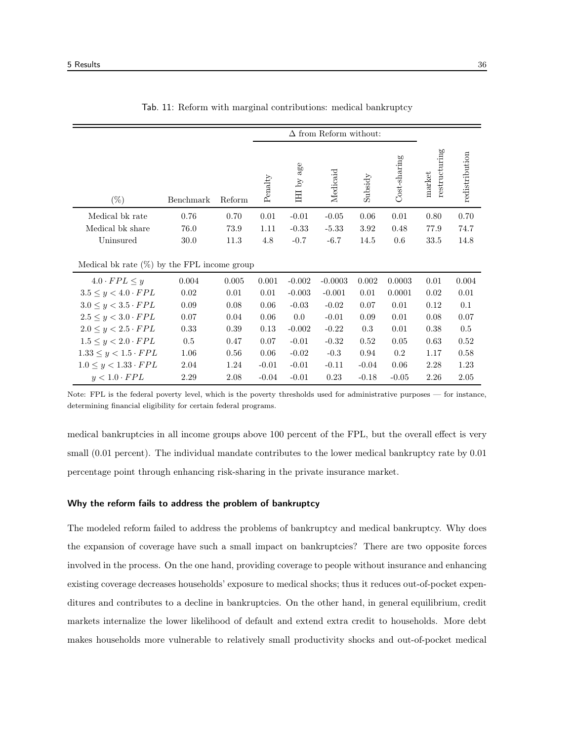|                                                | $\Delta$ from Reform without: |        |         |                     |           |         |              |                         |                |
|------------------------------------------------|-------------------------------|--------|---------|---------------------|-----------|---------|--------------|-------------------------|----------------|
| $(\%)$                                         | Benchmark                     | Reform | Penalty | age<br>$\rm HII$ by | Medicaid  | Subsidy | Cost-sharing | restructuring<br>market | redistribution |
| Medical bk rate                                | 0.76                          | 0.70   | 0.01    | $-0.01$             | $-0.05$   | 0.06    | 0.01         | 0.80                    | 0.70           |
| Medical bk share                               | 76.0                          | 73.9   | 1.11    | $-0.33$             | $-5.33$   | 3.92    | 0.48         | 77.9                    | 74.7           |
| Uninsured                                      | 30.0                          | 11.3   | 4.8     | $-0.7$              | $-6.7$    | 14.5    | 0.6          | 33.5                    | 14.8           |
| Medical bk rate $(\%)$ by the FPL income group |                               |        |         |                     |           |         |              |                         |                |
| $4.0 \cdot FPL \leq y$                         | 0.004                         | 0.005  | 0.001   | $-0.002$            | $-0.0003$ | 0.002   | 0.0003       | 0.01                    | 0.004          |
| $3.5 \leq y < 4.0 \cdot FPL$                   | 0.02                          | 0.01   | 0.01    | $-0.003$            | $-0.001$  | 0.01    | 0.0001       | 0.02                    | 0.01           |
| $3.0 \leq y < 3.5 \cdot FPL$                   | 0.09                          | 0.08   | 0.06    | $-0.03$             | $-0.02$   | 0.07    | 0.01         | 0.12                    | 0.1            |
| $2.5 \leq y < 3.0 \cdot FPL$                   | 0.07                          | 0.04   | 0.06    | 0.0                 | $-0.01$   | 0.09    | 0.01         | 0.08                    | 0.07           |
| $2.0 \leq y < 2.5 \cdot FPL$                   | 0.33                          | 0.39   | 0.13    | $-0.002$            | $-0.22$   | 0.3     | 0.01         | 0.38                    | 0.5            |
| $1.5 \leq y < 2.0 \cdot FPL$                   | 0.5                           | 0.47   | 0.07    | $-0.01$             | $-0.32$   | 0.52    | 0.05         | 0.63                    | 0.52           |
| $1.33 \leq y < 1.5 \cdot FPL$                  | 1.06                          | 0.56   | 0.06    | $-0.02$             | $-0.3$    | 0.94    | 0.2          | 1.17                    | 0.58           |
| $1.0 \leq y < 1.33 \cdot FPL$                  | 2.04                          | 1.24   | $-0.01$ | $-0.01$             | $-0.11$   | $-0.04$ | 0.06         | 2.28                    | 1.23           |
| $y < 1.0 \cdot FPL$                            | 2.29                          | 2.08   | $-0.04$ | $-0.01$             | 0.23      | $-0.18$ | $-0.05$      | 2.26                    | 2.05           |

|  |  | Tab. 11: Reform with marginal contributions: medical bankruptcy |  |  |
|--|--|-----------------------------------------------------------------|--|--|
|  |  |                                                                 |  |  |

Note: FPL is the federal poverty level, which is the poverty thresholds used for administrative purposes — for instance, determining financial eligibility for certain federal programs.

medical bankruptcies in all income groups above 100 percent of the FPL, but the overall effect is very small  $(0.01$  percent). The individual mandate contributes to the lower medical bankruptcy rate by  $0.01$ percentage point through enhancing risk-sharing in the private insurance market.

#### Why the reform fails to address the problem of bankruptcy

The modeled reform failed to address the problems of bankruptcy and medical bankruptcy. Why does the expansion of coverage have such a small impact on bankruptcies? There are two opposite forces involved in the process. On the one hand, providing coverage to people without insurance and enhancing existing coverage decreases households' exposure to medical shocks; thus it reduces out-of-pocket expenditures and contributes to a decline in bankruptcies. On the other hand, in general equilibrium, credit markets internalize the lower likelihood of default and extend extra credit to households. More debt makes households more vulnerable to relatively small productivity shocks and out-of-pocket medical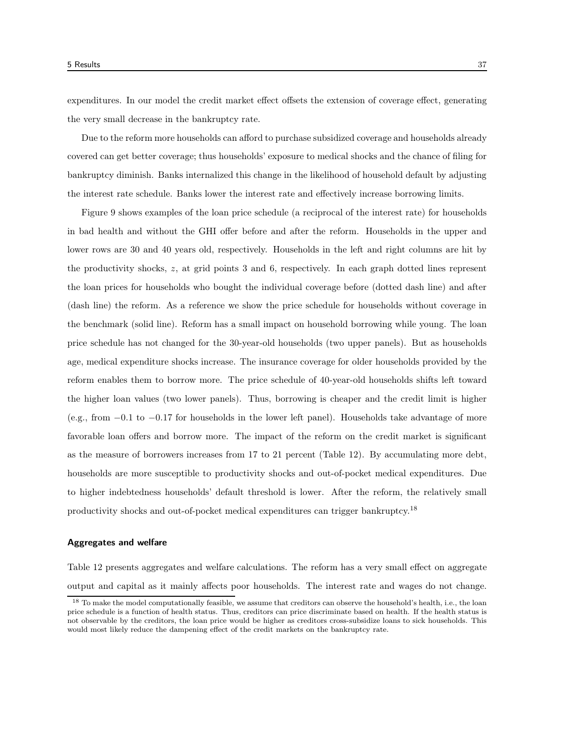expenditures. In our model the credit market effect offsets the extension of coverage effect, generating the very small decrease in the bankruptcy rate.

Due to the reform more households can afford to purchase subsidized coverage and households already covered can get better coverage; thus households' exposure to medical shocks and the chance of filing for bankruptcy diminish. Banks internalized this change in the likelihood of household default by adjusting the interest rate schedule. Banks lower the interest rate and effectively increase borrowing limits.

Figure 9 shows examples of the loan price schedule (a reciprocal of the interest rate) for households in bad health and without the GHI offer before and after the reform. Households in the upper and lower rows are 30 and 40 years old, respectively. Households in the left and right columns are hit by the productivity shocks, z, at grid points 3 and 6, respectively. In each graph dotted lines represent the loan prices for households who bought the individual coverage before (dotted dash line) and after (dash line) the reform. As a reference we show the price schedule for households without coverage in the benchmark (solid line). Reform has a small impact on household borrowing while young. The loan price schedule has not changed for the 30-year-old households (two upper panels). But as households age, medical expenditure shocks increase. The insurance coverage for older households provided by the reform enables them to borrow more. The price schedule of 40-year-old households shifts left toward the higher loan values (two lower panels). Thus, borrowing is cheaper and the credit limit is higher (e.g., from −0.1 to −0.17 for households in the lower left panel). Households take advantage of more favorable loan offers and borrow more. The impact of the reform on the credit market is significant as the measure of borrowers increases from 17 to 21 percent (Table 12). By accumulating more debt, households are more susceptible to productivity shocks and out-of-pocket medical expenditures. Due to higher indebtedness households' default threshold is lower. After the reform, the relatively small productivity shocks and out-of-pocket medical expenditures can trigger bankruptcy.<sup>18</sup>

#### Aggregates and welfare

Table 12 presents aggregates and welfare calculations. The reform has a very small effect on aggregate output and capital as it mainly affects poor households. The interest rate and wages do not change.

<sup>&</sup>lt;sup>18</sup> To make the model computationally feasible, we assume that creditors can observe the household's health, i.e., the loan price schedule is a function of health status. Thus, creditors can price discriminate based on health. If the health status is not observable by the creditors, the loan price would be higher as creditors cross-subsidize loans to sick households. This would most likely reduce the dampening effect of the credit markets on the bankruptcy rate.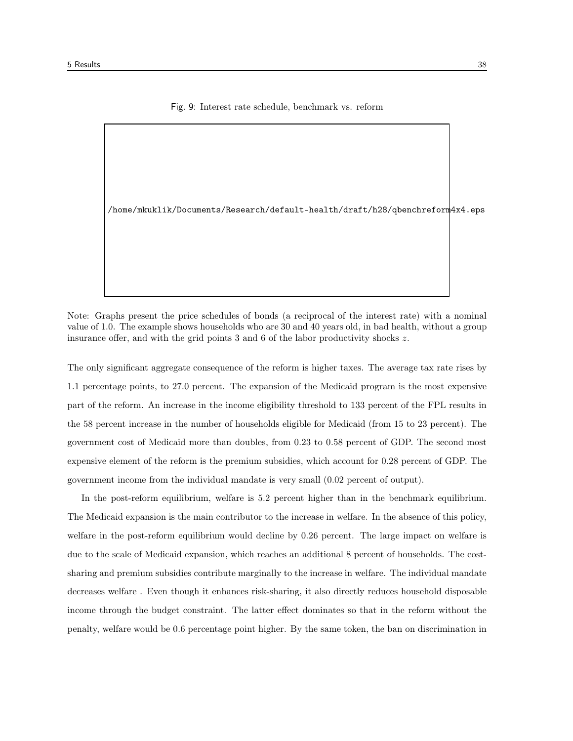#### Fig. 9: Interest rate schedule, benchmark vs. reform

/home/mkuklik/Documents/Research/default-health/draft/h28/qbenchreform4x4.eps

Note: Graphs present the price schedules of bonds (a reciprocal of the interest rate) with a nominal value of 1.0. The example shows households who are 30 and 40 years old, in bad health, without a group insurance offer, and with the grid points 3 and 6 of the labor productivity shocks  $z$ .

The only significant aggregate consequence of the reform is higher taxes. The average tax rate rises by 1.1 percentage points, to 27.0 percent. The expansion of the Medicaid program is the most expensive part of the reform. An increase in the income eligibility threshold to 133 percent of the FPL results in the 58 percent increase in the number of households eligible for Medicaid (from 15 to 23 percent). The government cost of Medicaid more than doubles, from 0.23 to 0.58 percent of GDP. The second most expensive element of the reform is the premium subsidies, which account for 0.28 percent of GDP. The government income from the individual mandate is very small (0.02 percent of output).

In the post-reform equilibrium, welfare is 5.2 percent higher than in the benchmark equilibrium. The Medicaid expansion is the main contributor to the increase in welfare. In the absence of this policy, welfare in the post-reform equilibrium would decline by 0.26 percent. The large impact on welfare is due to the scale of Medicaid expansion, which reaches an additional 8 percent of households. The costsharing and premium subsidies contribute marginally to the increase in welfare. The individual mandate decreases welfare . Even though it enhances risk-sharing, it also directly reduces household disposable income through the budget constraint. The latter effect dominates so that in the reform without the penalty, welfare would be 0.6 percentage point higher. By the same token, the ban on discrimination in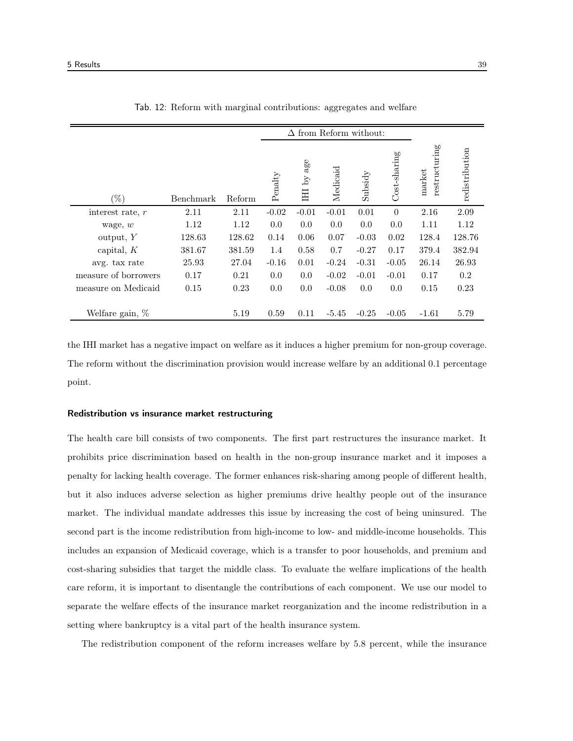|                      | $\Delta$ from Reform without: |        |         |               |          |         |                       |                         |                |
|----------------------|-------------------------------|--------|---------|---------------|----------|---------|-----------------------|-------------------------|----------------|
| '%)                  | Benchmark                     | Reform | Penalty | age<br>IHI by | Medicaid | Subsidy | $Cost\text{-}sharing$ | restructuring<br>market | redistribution |
| interest rate, $r$   | 2.11                          | 2.11   | $-0.02$ | $-0.01$       | $-0.01$  | 0.01    | $\theta$              | 2.16                    | 2.09           |
| wage, $w$            | 1.12                          | 1.12   | 0.0     | 0.0           | 0.0      | 0.0     | 0.0                   | 1.11                    | 1.12           |
| output, Y            | 128.63                        | 128.62 | 0.14    | 0.06          | 0.07     | $-0.03$ | 0.02                  | 128.4                   | 128.76         |
| capital, $K$         | 381.67                        | 381.59 | 1.4     | 0.58          | 0.7      | $-0.27$ | 0.17                  | 379.4                   | 382.94         |
| avg. tax rate        | 25.93                         | 27.04  | $-0.16$ | 0.01          | $-0.24$  | $-0.31$ | $-0.05$               | 26.14                   | 26.93          |
| measure of borrowers | 0.17                          | 0.21   | 0.0     | 0.0           | $-0.02$  | $-0.01$ | $-0.01$               | 0.17                    | 0.2            |
| measure on Medicaid  | 0.15                          | 0.23   | 0.0     | 0.0           | $-0.08$  | 0.0     | 0.0                   | 0.15                    | 0.23           |
| Welfare gain, $%$    |                               | 5.19   | 0.59    | 0.11          | $-5.45$  | $-0.25$ | $-0.05$               | $-1.61$                 | 5.79           |

|  |  | Tab. 12: Reform with marginal contributions: aggregates and welfare |  |  |
|--|--|---------------------------------------------------------------------|--|--|
|  |  |                                                                     |  |  |
|  |  |                                                                     |  |  |

the IHI market has a negative impact on welfare as it induces a higher premium for non-group coverage. The reform without the discrimination provision would increase welfare by an additional 0.1 percentage point.

#### Redistribution vs insurance market restructuring

The health care bill consists of two components. The first part restructures the insurance market. It prohibits price discrimination based on health in the non-group insurance market and it imposes a penalty for lacking health coverage. The former enhances risk-sharing among people of different health, but it also induces adverse selection as higher premiums drive healthy people out of the insurance market. The individual mandate addresses this issue by increasing the cost of being uninsured. The second part is the income redistribution from high-income to low- and middle-income households. This includes an expansion of Medicaid coverage, which is a transfer to poor households, and premium and cost-sharing subsidies that target the middle class. To evaluate the welfare implications of the health care reform, it is important to disentangle the contributions of each component. We use our model to separate the welfare effects of the insurance market reorganization and the income redistribution in a setting where bankruptcy is a vital part of the health insurance system.

The redistribution component of the reform increases welfare by 5.8 percent, while the insurance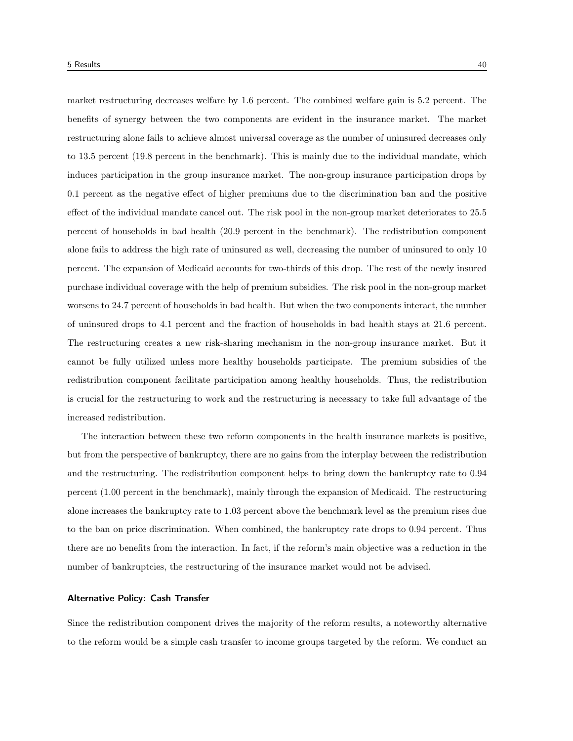market restructuring decreases welfare by 1.6 percent. The combined welfare gain is 5.2 percent. The benefits of synergy between the two components are evident in the insurance market. The market restructuring alone fails to achieve almost universal coverage as the number of uninsured decreases only to 13.5 percent (19.8 percent in the benchmark). This is mainly due to the individual mandate, which induces participation in the group insurance market. The non-group insurance participation drops by 0.1 percent as the negative effect of higher premiums due to the discrimination ban and the positive effect of the individual mandate cancel out. The risk pool in the non-group market deteriorates to 25.5 percent of households in bad health (20.9 percent in the benchmark). The redistribution component alone fails to address the high rate of uninsured as well, decreasing the number of uninsured to only 10 percent. The expansion of Medicaid accounts for two-thirds of this drop. The rest of the newly insured purchase individual coverage with the help of premium subsidies. The risk pool in the non-group market worsens to 24.7 percent of households in bad health. But when the two components interact, the number of uninsured drops to 4.1 percent and the fraction of households in bad health stays at 21.6 percent. The restructuring creates a new risk-sharing mechanism in the non-group insurance market. But it cannot be fully utilized unless more healthy households participate. The premium subsidies of the redistribution component facilitate participation among healthy households. Thus, the redistribution is crucial for the restructuring to work and the restructuring is necessary to take full advantage of the increased redistribution.

The interaction between these two reform components in the health insurance markets is positive, but from the perspective of bankruptcy, there are no gains from the interplay between the redistribution and the restructuring. The redistribution component helps to bring down the bankruptcy rate to 0.94 percent (1.00 percent in the benchmark), mainly through the expansion of Medicaid. The restructuring alone increases the bankruptcy rate to 1.03 percent above the benchmark level as the premium rises due to the ban on price discrimination. When combined, the bankruptcy rate drops to 0.94 percent. Thus there are no benefits from the interaction. In fact, if the reform's main objective was a reduction in the number of bankruptcies, the restructuring of the insurance market would not be advised.

#### Alternative Policy: Cash Transfer

Since the redistribution component drives the majority of the reform results, a noteworthy alternative to the reform would be a simple cash transfer to income groups targeted by the reform. We conduct an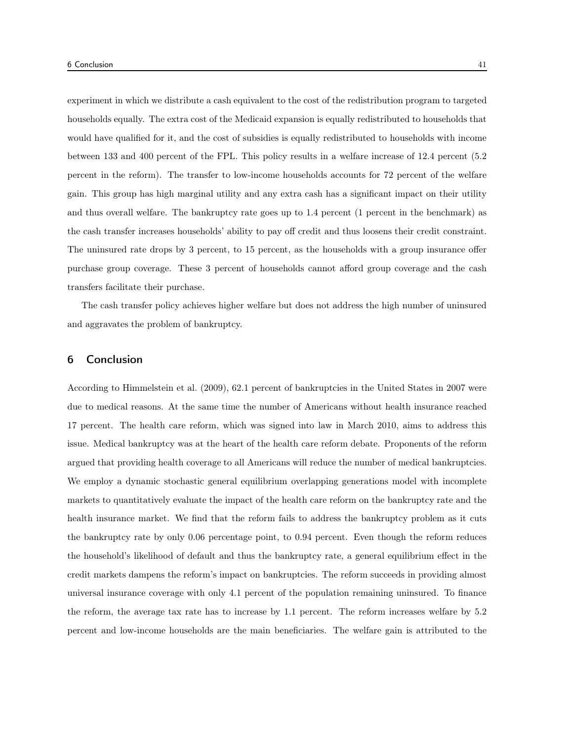experiment in which we distribute a cash equivalent to the cost of the redistribution program to targeted households equally. The extra cost of the Medicaid expansion is equally redistributed to households that would have qualified for it, and the cost of subsidies is equally redistributed to households with income between 133 and 400 percent of the FPL. This policy results in a welfare increase of 12.4 percent (5.2 percent in the reform). The transfer to low-income households accounts for 72 percent of the welfare gain. This group has high marginal utility and any extra cash has a significant impact on their utility and thus overall welfare. The bankruptcy rate goes up to 1.4 percent (1 percent in the benchmark) as the cash transfer increases households' ability to pay off credit and thus loosens their credit constraint. The uninsured rate drops by 3 percent, to 15 percent, as the households with a group insurance offer purchase group coverage. These 3 percent of households cannot afford group coverage and the cash transfers facilitate their purchase.

The cash transfer policy achieves higher welfare but does not address the high number of uninsured and aggravates the problem of bankruptcy.

# 6 Conclusion

According to Himmelstein et al. (2009), 62.1 percent of bankruptcies in the United States in 2007 were due to medical reasons. At the same time the number of Americans without health insurance reached 17 percent. The health care reform, which was signed into law in March 2010, aims to address this issue. Medical bankruptcy was at the heart of the health care reform debate. Proponents of the reform argued that providing health coverage to all Americans will reduce the number of medical bankruptcies. We employ a dynamic stochastic general equilibrium overlapping generations model with incomplete markets to quantitatively evaluate the impact of the health care reform on the bankruptcy rate and the health insurance market. We find that the reform fails to address the bankruptcy problem as it cuts the bankruptcy rate by only 0.06 percentage point, to 0.94 percent. Even though the reform reduces the household's likelihood of default and thus the bankruptcy rate, a general equilibrium effect in the credit markets dampens the reform's impact on bankruptcies. The reform succeeds in providing almost universal insurance coverage with only 4.1 percent of the population remaining uninsured. To finance the reform, the average tax rate has to increase by 1.1 percent. The reform increases welfare by 5.2 percent and low-income households are the main beneficiaries. The welfare gain is attributed to the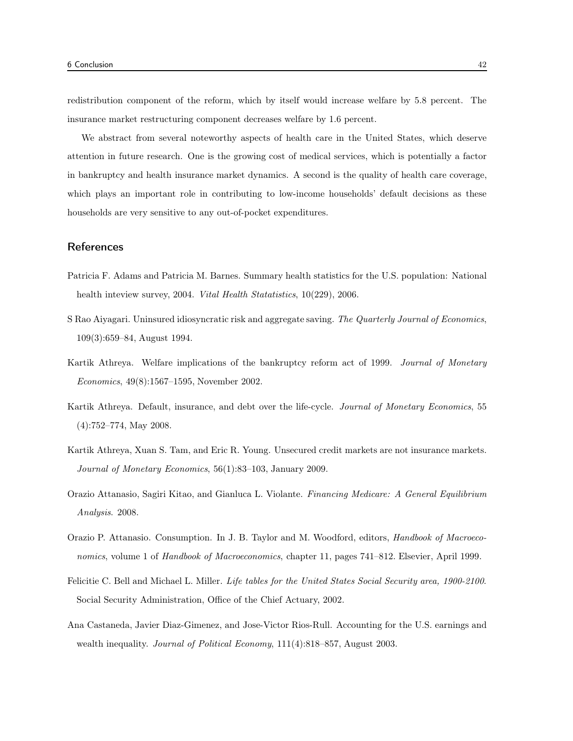redistribution component of the reform, which by itself would increase welfare by 5.8 percent. The insurance market restructuring component decreases welfare by 1.6 percent.

We abstract from several noteworthy aspects of health care in the United States, which deserve attention in future research. One is the growing cost of medical services, which is potentially a factor in bankruptcy and health insurance market dynamics. A second is the quality of health care coverage, which plays an important role in contributing to low-income households' default decisions as these households are very sensitive to any out-of-pocket expenditures.

# **References**

- Patricia F. Adams and Patricia M. Barnes. Summary health statistics for the U.S. population: National health inteview survey, 2004. *Vital Health Statatistics*, 10(229), 2006.
- S Rao Aiyagari. Uninsured idiosyncratic risk and aggregate saving. The Quarterly Journal of Economics, 109(3):659–84, August 1994.
- Kartik Athreya. Welfare implications of the bankruptcy reform act of 1999. Journal of Monetary Economics, 49(8):1567–1595, November 2002.
- Kartik Athreya. Default, insurance, and debt over the life-cycle. Journal of Monetary Economics, 55 (4):752–774, May 2008.
- Kartik Athreya, Xuan S. Tam, and Eric R. Young. Unsecured credit markets are not insurance markets. Journal of Monetary Economics, 56(1):83–103, January 2009.
- Orazio Attanasio, Sagiri Kitao, and Gianluca L. Violante. Financing Medicare: A General Equilibrium Analysis. 2008.
- Orazio P. Attanasio. Consumption. In J. B. Taylor and M. Woodford, editors, Handbook of Macroeconomics, volume 1 of Handbook of Macroeconomics, chapter 11, pages 741–812. Elsevier, April 1999.
- Felicitie C. Bell and Michael L. Miller. Life tables for the United States Social Security area, 1900-2100. Social Security Administration, Office of the Chief Actuary, 2002.
- Ana Castaneda, Javier Diaz-Gimenez, and Jose-Victor Rios-Rull. Accounting for the U.S. earnings and wealth inequality. *Journal of Political Economy*, 111(4):818–857, August 2003.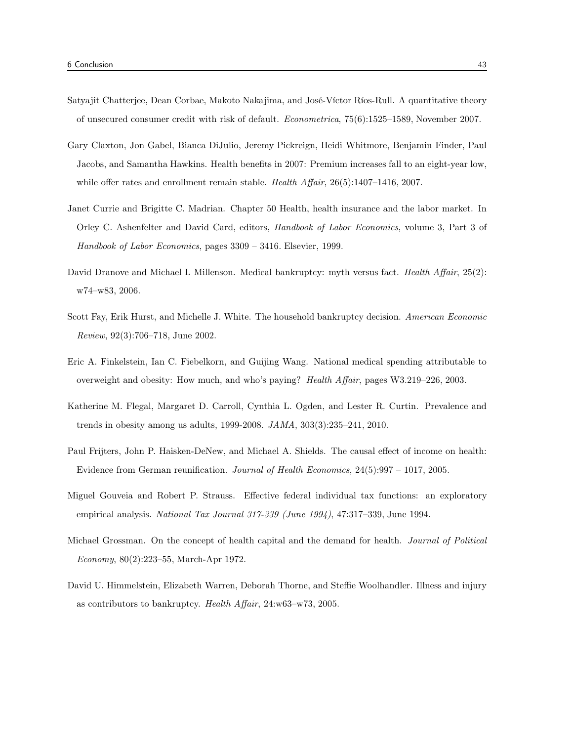- Satyajit Chatterjee, Dean Corbae, Makoto Nakajima, and José-Víctor Ríos-Rull. A quantitative theory of unsecured consumer credit with risk of default. Econometrica, 75(6):1525–1589, November 2007.
- Gary Claxton, Jon Gabel, Bianca DiJulio, Jeremy Pickreign, Heidi Whitmore, Benjamin Finder, Paul Jacobs, and Samantha Hawkins. Health benefits in 2007: Premium increases fall to an eight-year low, while offer rates and enrollment remain stable. *Health Affair*, 26(5):1407–1416, 2007.
- Janet Currie and Brigitte C. Madrian. Chapter 50 Health, health insurance and the labor market. In Orley C. Ashenfelter and David Card, editors, Handbook of Labor Economics, volume 3, Part 3 of Handbook of Labor Economics, pages 3309 – 3416. Elsevier, 1999.
- David Dranove and Michael L Millenson. Medical bankruptcy: myth versus fact. Health Affair, 25(2): w74–w83, 2006.
- Scott Fay, Erik Hurst, and Michelle J. White. The household bankruptcy decision. American Economic Review, 92(3):706–718, June 2002.
- Eric A. Finkelstein, Ian C. Fiebelkorn, and Guijing Wang. National medical spending attributable to overweight and obesity: How much, and who's paying? Health Affair, pages W3.219–226, 2003.
- Katherine M. Flegal, Margaret D. Carroll, Cynthia L. Ogden, and Lester R. Curtin. Prevalence and trends in obesity among us adults, 1999-2008. JAMA, 303(3):235–241, 2010.
- Paul Frijters, John P. Haisken-DeNew, and Michael A. Shields. The causal effect of income on health: Evidence from German reunification. Journal of Health Economics, 24(5):997 – 1017, 2005.
- Miguel Gouveia and Robert P. Strauss. Effective federal individual tax functions: an exploratory empirical analysis. National Tax Journal 317-339 (June 1994), 47:317–339, June 1994.
- Michael Grossman. On the concept of health capital and the demand for health. Journal of Political Economy, 80(2):223–55, March-Apr 1972.
- David U. Himmelstein, Elizabeth Warren, Deborah Thorne, and Steffie Woolhandler. Illness and injury as contributors to bankruptcy. Health Affair, 24:w63–w73, 2005.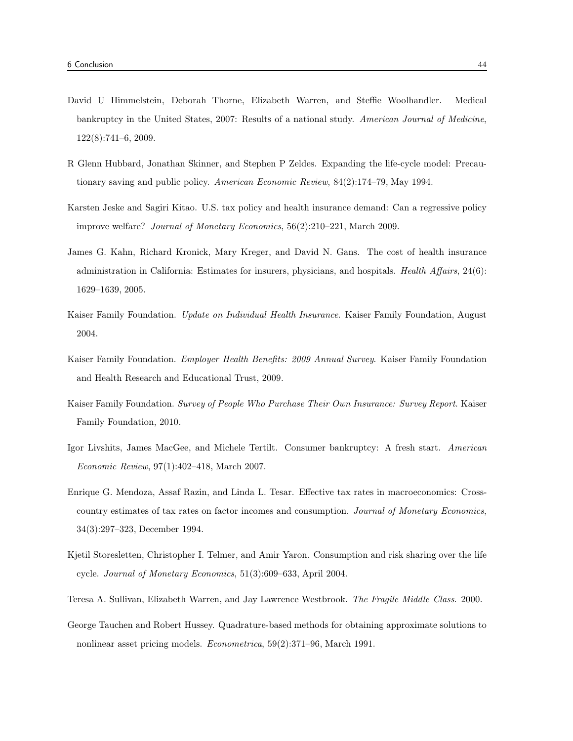- David U Himmelstein, Deborah Thorne, Elizabeth Warren, and Steffie Woolhandler. Medical bankruptcy in the United States, 2007: Results of a national study. American Journal of Medicine, 122(8):741–6, 2009.
- R Glenn Hubbard, Jonathan Skinner, and Stephen P Zeldes. Expanding the life-cycle model: Precautionary saving and public policy. American Economic Review, 84(2):174–79, May 1994.
- Karsten Jeske and Sagiri Kitao. U.S. tax policy and health insurance demand: Can a regressive policy improve welfare? Journal of Monetary Economics, 56(2):210–221, March 2009.
- James G. Kahn, Richard Kronick, Mary Kreger, and David N. Gans. The cost of health insurance administration in California: Estimates for insurers, physicians, and hospitals. Health Affairs, 24(6): 1629–1639, 2005.
- Kaiser Family Foundation. Update on Individual Health Insurance. Kaiser Family Foundation, August 2004.
- Kaiser Family Foundation. Employer Health Benefits: 2009 Annual Survey. Kaiser Family Foundation and Health Research and Educational Trust, 2009.
- Kaiser Family Foundation. Survey of People Who Purchase Their Own Insurance: Survey Report. Kaiser Family Foundation, 2010.
- Igor Livshits, James MacGee, and Michele Tertilt. Consumer bankruptcy: A fresh start. American Economic Review, 97(1):402–418, March 2007.
- Enrique G. Mendoza, Assaf Razin, and Linda L. Tesar. Effective tax rates in macroeconomics: Crosscountry estimates of tax rates on factor incomes and consumption. Journal of Monetary Economics, 34(3):297–323, December 1994.
- Kjetil Storesletten, Christopher I. Telmer, and Amir Yaron. Consumption and risk sharing over the life cycle. Journal of Monetary Economics, 51(3):609–633, April 2004.
- Teresa A. Sullivan, Elizabeth Warren, and Jay Lawrence Westbrook. The Fragile Middle Class. 2000.
- George Tauchen and Robert Hussey. Quadrature-based methods for obtaining approximate solutions to nonlinear asset pricing models. Econometrica, 59(2):371–96, March 1991.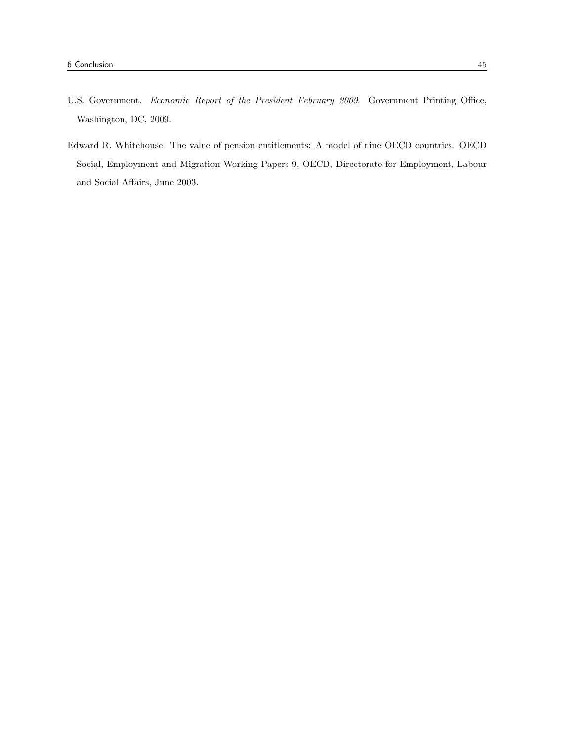- U.S. Government. Economic Report of the President February 2009. Government Printing Office, Washington, DC, 2009.
- Edward R. Whitehouse. The value of pension entitlements: A model of nine OECD countries. OECD Social, Employment and Migration Working Papers 9, OECD, Directorate for Employment, Labour and Social Affairs, June 2003.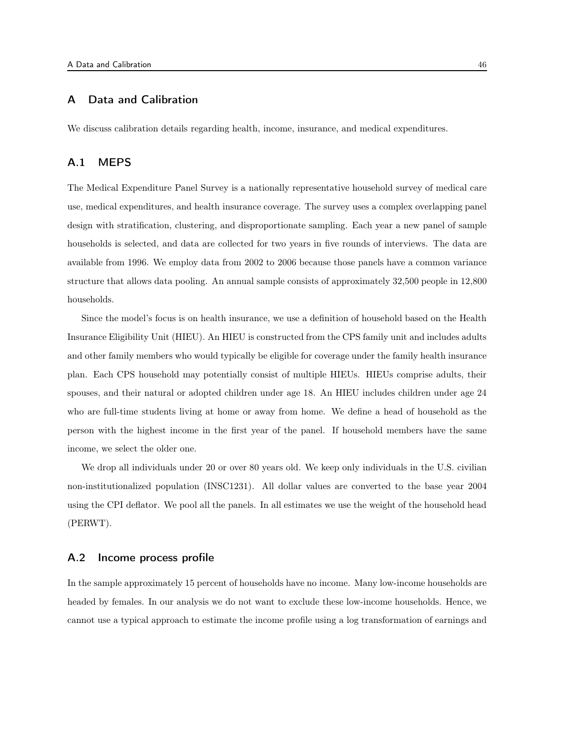# A Data and Calibration

We discuss calibration details regarding health, income, insurance, and medical expenditures.

# A.1 MEPS

The Medical Expenditure Panel Survey is a nationally representative household survey of medical care use, medical expenditures, and health insurance coverage. The survey uses a complex overlapping panel design with stratification, clustering, and disproportionate sampling. Each year a new panel of sample households is selected, and data are collected for two years in five rounds of interviews. The data are available from 1996. We employ data from 2002 to 2006 because those panels have a common variance structure that allows data pooling. An annual sample consists of approximately 32,500 people in 12,800 households.

Since the model's focus is on health insurance, we use a definition of household based on the Health Insurance Eligibility Unit (HIEU). An HIEU is constructed from the CPS family unit and includes adults and other family members who would typically be eligible for coverage under the family health insurance plan. Each CPS household may potentially consist of multiple HIEUs. HIEUs comprise adults, their spouses, and their natural or adopted children under age 18. An HIEU includes children under age 24 who are full-time students living at home or away from home. We define a head of household as the person with the highest income in the first year of the panel. If household members have the same income, we select the older one.

We drop all individuals under 20 or over 80 years old. We keep only individuals in the U.S. civilian non-institutionalized population (INSC1231). All dollar values are converted to the base year 2004 using the CPI deflator. We pool all the panels. In all estimates we use the weight of the household head (PERWT).

# A.2 Income process profile

In the sample approximately 15 percent of households have no income. Many low-income households are headed by females. In our analysis we do not want to exclude these low-income households. Hence, we cannot use a typical approach to estimate the income profile using a log transformation of earnings and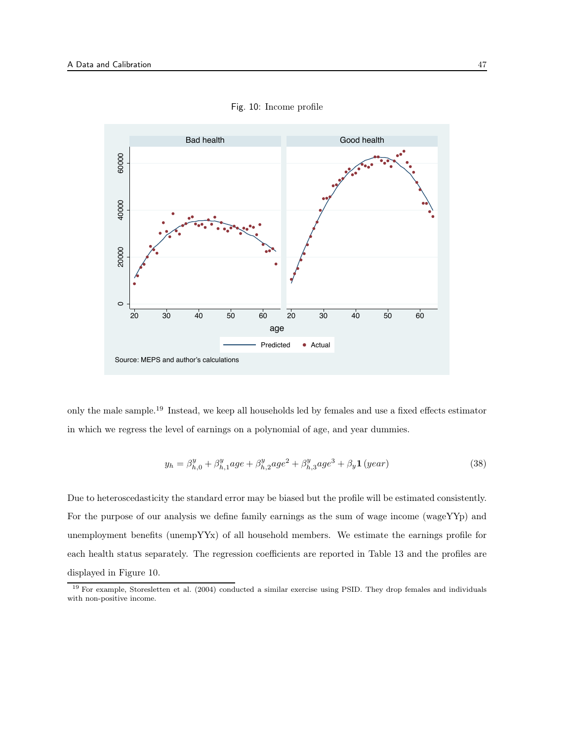

Fig. 10: Income profile

only the male sample.<sup>19</sup> Instead, we keep all households led by females and use a fixed effects estimator in which we regress the level of earnings on a polynomial of age, and year dummies.

$$
y_h = \beta_{h,0}^y + \beta_{h,1}^y age + \beta_{h,2}^y age^2 + \beta_{h,3}^y age^3 + \beta_y \mathbf{1} \left( year \right) \tag{38}
$$

Due to heteroscedasticity the standard error may be biased but the profile will be estimated consistently. For the purpose of our analysis we define family earnings as the sum of wage income (wageYYp) and unemployment benefits (unempYYx) of all household members. We estimate the earnings profile for each health status separately. The regression coefficients are reported in Table 13 and the profiles are displayed in Figure 10.

<sup>19</sup> For example, Storesletten et al. (2004) conducted a similar exercise using PSID. They drop females and individuals with non-positive income.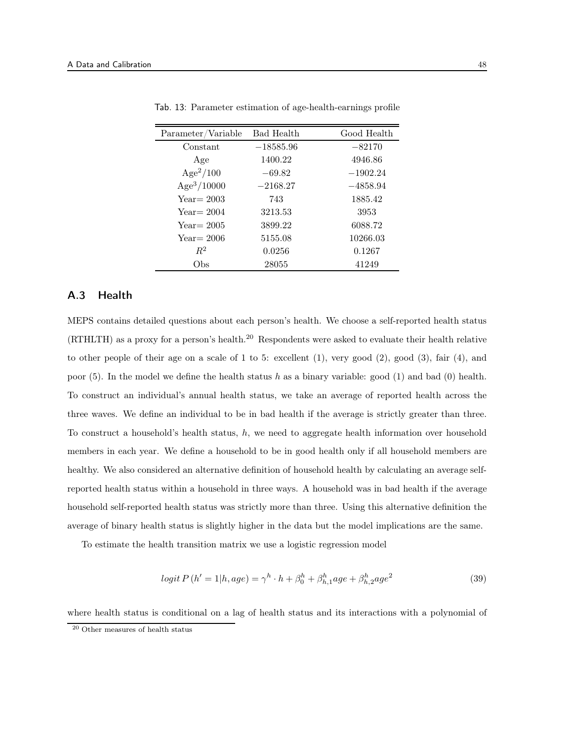| Parameter/Variable      | <b>Bad Health</b> | Good Health |
|-------------------------|-------------------|-------------|
| Constant                | $-18585.96$       | $-82170$    |
| Age                     | 1400.22           | 4946.86     |
| $Age^2/100$             | $-69.82$          | $-1902.24$  |
| Age <sup>3</sup> /10000 | $-2168.27$        | $-4858.94$  |
| $Year = 2003$           | 743               | 1885.42     |
| $Year = 2004$           | 3213.53           | 3953        |
| $Year = 2005$           | 3899.22           | 6088.72     |
| $Year = 2006$           | 5155.08           | 10266.03    |
| $R^2$                   | 0.0256            | 0.1267      |
| Obs                     | 28055             | 41249       |

Tab. 13: Parameter estimation of age-health-earnings profile

# A.3 Health

MEPS contains detailed questions about each person's health. We choose a self-reported health status (RTHLTH) as a proxy for a person's health.<sup>20</sup> Respondents were asked to evaluate their health relative to other people of their age on a scale of 1 to 5: excellent (1), very good (2), good (3), fair (4), and poor (5). In the model we define the health status h as a binary variable: good (1) and bad (0) health. To construct an individual's annual health status, we take an average of reported health across the three waves. We define an individual to be in bad health if the average is strictly greater than three. To construct a household's health status,  $h$ , we need to aggregate health information over household members in each year. We define a household to be in good health only if all household members are healthy. We also considered an alternative definition of household health by calculating an average selfreported health status within a household in three ways. A household was in bad health if the average household self-reported health status was strictly more than three. Using this alternative definition the average of binary health status is slightly higher in the data but the model implications are the same.

To estimate the health transition matrix we use a logistic regression model

$$
logit P (h' = 1 | h, age) = \gamma^h \cdot h + \beta_0^h + \beta_{h,1}^h age + \beta_{h,2}^h age^2
$$
\n(39)

where health status is conditional on a lag of health status and its interactions with a polynomial of

<sup>20</sup> Other measures of health status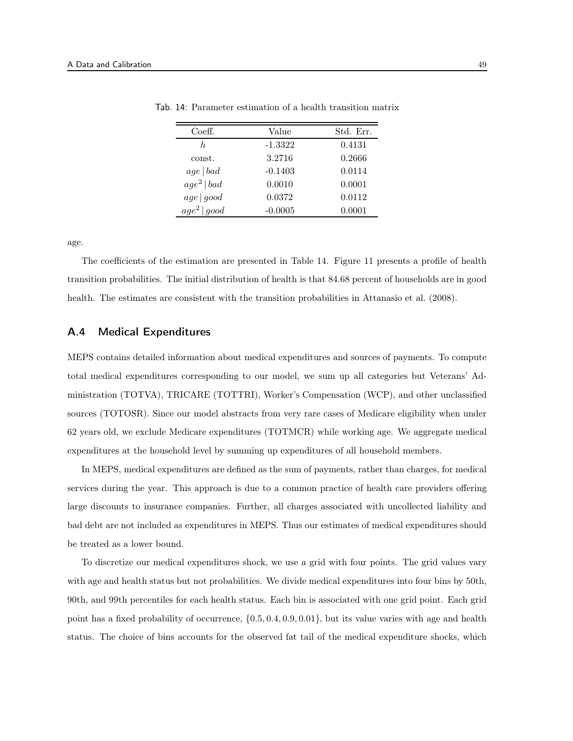| Coeff.                  | Value     | Std. Err. |
|-------------------------|-----------|-----------|
| h.                      | $-1.3322$ | 0.4131    |
| const.                  | 3.2716    | 0.2666    |
| age   bad               | $-0.1403$ | 0.0114    |
| age <sup>2</sup>   bad  | 0.0010    | 0.0001    |
| age good                | 0.0372    | 0.0112    |
| age <sup>2</sup>   good | $-0.0005$ | 0.0001    |

Tab. 14: Parameter estimation of a health transition matrix

age.

The coefficients of the estimation are presented in Table 14. Figure 11 presents a profile of health transition probabilities. The initial distribution of health is that 84.68 percent of households are in good health. The estimates are consistent with the transition probabilities in Attanasio et al. (2008).

# A.4 Medical Expenditures

MEPS contains detailed information about medical expenditures and sources of payments. To compute total medical expenditures corresponding to our model, we sum up all categories but Veterans' Administration (TOTVA), TRICARE (TOTTRI), Worker's Compensation (WCP), and other unclassified sources (TOTOSR). Since our model abstracts from very rare cases of Medicare eligibility when under 62 years old, we exclude Medicare expenditures (TOTMCR) while working age. We aggregate medical expenditures at the household level by summing up expenditures of all household members.

In MEPS, medical expenditures are defined as the sum of payments, rather than charges, for medical services during the year. This approach is due to a common practice of health care providers offering large discounts to insurance companies. Further, all charges associated with uncollected liability and bad debt are not included as expenditures in MEPS. Thus our estimates of medical expenditures should be treated as a lower bound.

To discretize our medical expenditures shock, we use a grid with four points. The grid values vary with age and health status but not probabilities. We divide medical expenditures into four bins by 50th, 90th, and 99th percentiles for each health status. Each bin is associated with one grid point. Each grid point has a fixed probability of occurrence, {0.5, 0.4, 0.9, 0.01}, but its value varies with age and health status. The choice of bins accounts for the observed fat tail of the medical expenditure shocks, which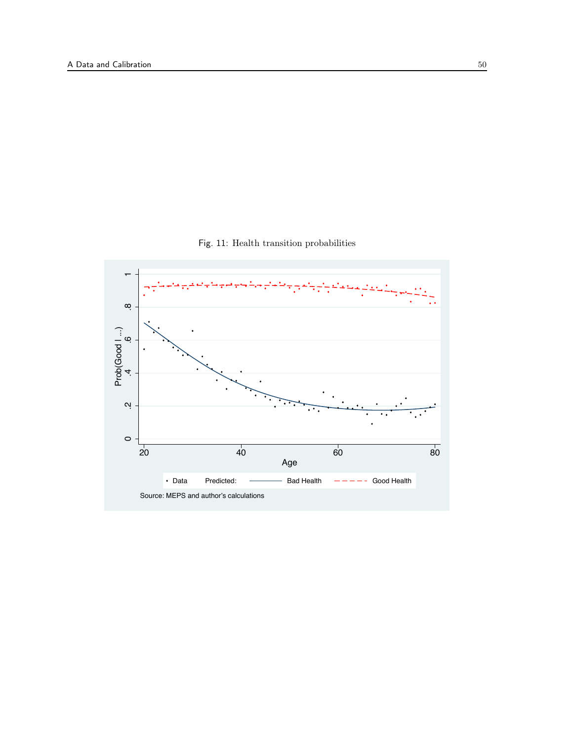

Fig. 11: Health transition probabilities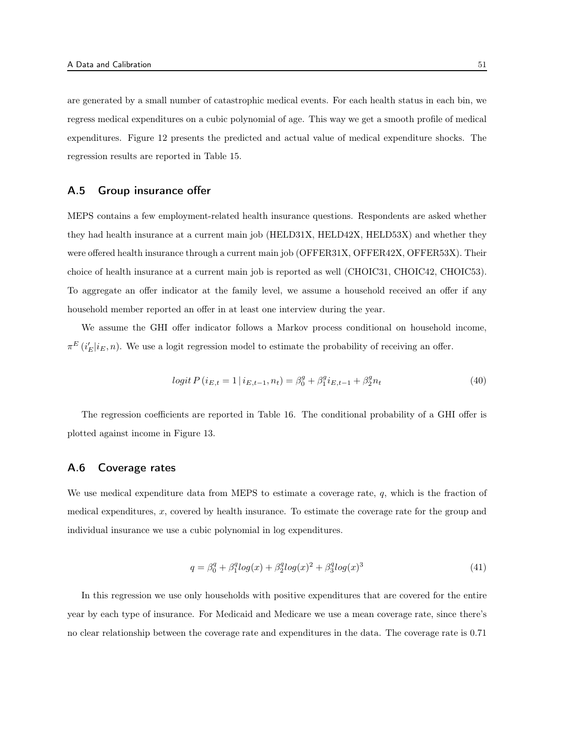are generated by a small number of catastrophic medical events. For each health status in each bin, we regress medical expenditures on a cubic polynomial of age. This way we get a smooth profile of medical expenditures. Figure 12 presents the predicted and actual value of medical expenditure shocks. The regression results are reported in Table 15.

# A.5 Group insurance offer

MEPS contains a few employment-related health insurance questions. Respondents are asked whether they had health insurance at a current main job (HELD31X, HELD42X, HELD53X) and whether they were offered health insurance through a current main job (OFFER31X, OFFER42X, OFFER53X). Their choice of health insurance at a current main job is reported as well (CHOIC31, CHOIC42, CHOIC53). To aggregate an offer indicator at the family level, we assume a household received an offer if any household member reported an offer in at least one interview during the year.

We assume the GHI offer indicator follows a Markov process conditional on household income,  $\pi^{E}(i'_{E}|i_{E}, n)$ . We use a logit regression model to estimate the probability of receiving an offer.

$$
logit P(i_{E,t} = 1 | i_{E,t-1}, n_t) = \beta_0^g + \beta_1^g i_{E,t-1} + \beta_2^g n_t
$$
\n
$$
(40)
$$

The regression coefficients are reported in Table 16. The conditional probability of a GHI offer is plotted against income in Figure 13.

# A.6 Coverage rates

We use medical expenditure data from MEPS to estimate a coverage rate,  $q$ , which is the fraction of medical expenditures, x, covered by health insurance. To estimate the coverage rate for the group and individual insurance we use a cubic polynomial in log expenditures.

$$
q = \beta_0^q + \beta_1^q \log(x) + \beta_2^q \log(x)^2 + \beta_3^q \log(x)^3 \tag{41}
$$

In this regression we use only households with positive expenditures that are covered for the entire year by each type of insurance. For Medicaid and Medicare we use a mean coverage rate, since there's no clear relationship between the coverage rate and expenditures in the data. The coverage rate is 0.71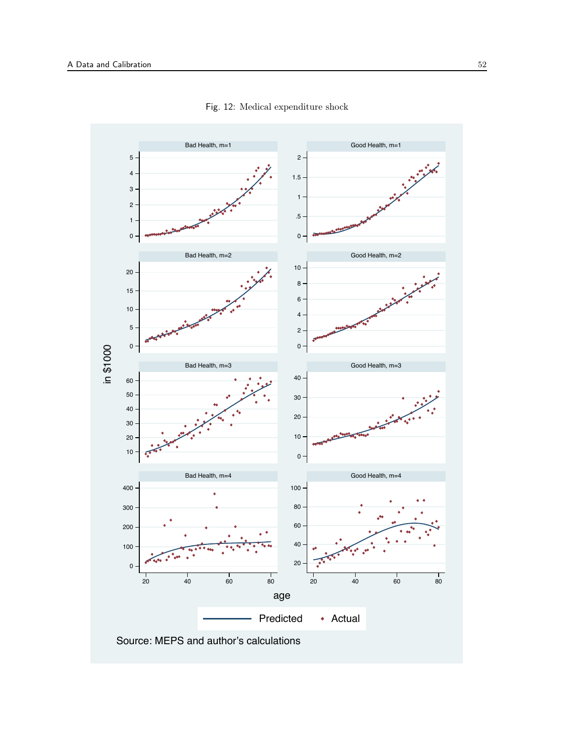

Fig. 12: Medical expenditure shock

Source: MEPS and author's calculations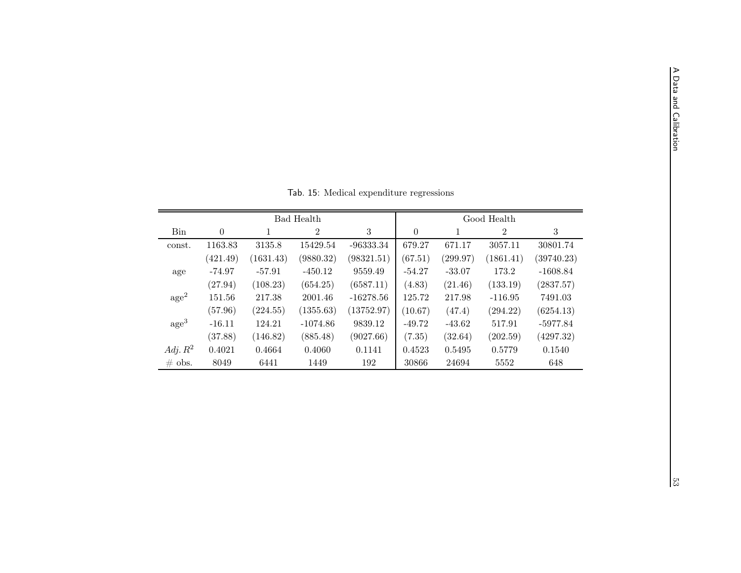|                  |          |           | Bad Health     |             |          |          | Good Health    |            |
|------------------|----------|-----------|----------------|-------------|----------|----------|----------------|------------|
| Bin              | $\theta$ |           | $\overline{2}$ | 3           | $\theta$ |          | $\overline{2}$ | 3          |
| const.           | 1163.83  | 3135.8    | 15429.54       | $-96333.34$ | 679.27   | 671.17   | 3057.11        | 30801.74   |
|                  | (421.49) | (1631.43) | (9880.32)      | (98321.51)  | (67.51)  | (299.97) | (1861.41)      | (39740.23) |
| age              | $-74.97$ | $-57.91$  | $-450.12$      | 9559.49     | $-54.27$ | $-33.07$ | 173.2          | $-1608.84$ |
|                  | (27.94)  | (108.23)  | (654.25)       | (6587.11)   | (4.83)   | (21.46)  | (133.19)       | (2837.57)  |
| $\rm age^2$      | 151.56   | 217.38    | 2001.46        | $-16278.56$ | 125.72   | 217.98   | $-116.95$      | 7491.03    |
|                  | (57.96)  | (224.55)  | (1355.63)      | (13752.97)  | (10.67)  | (47.4)   | (294.22)       | (6254.13)  |
| age <sup>3</sup> | $-16.11$ | 124.21    | $-1074.86$     | 9839.12     | $-49.72$ | $-43.62$ | 517.91         | $-5977.84$ |
|                  | (37.88)  | (146.82)  | (885.48)       | (9027.66)   | (7.35)   | (32.64)  | (202.59)       | (4297.32)  |
| Adj. $R^2$       | 0.4021   | 0.4664    | 0.4060         | 0.1141      | 0.4523   | 0.5495   | 0.5779         | 0.1540     |
| $\#$ obs.        | 8049     | 6441      | 1449           | 192         | 30866    | 24694    | 5552           | 648        |

Tab. 15: Medical expenditure regressions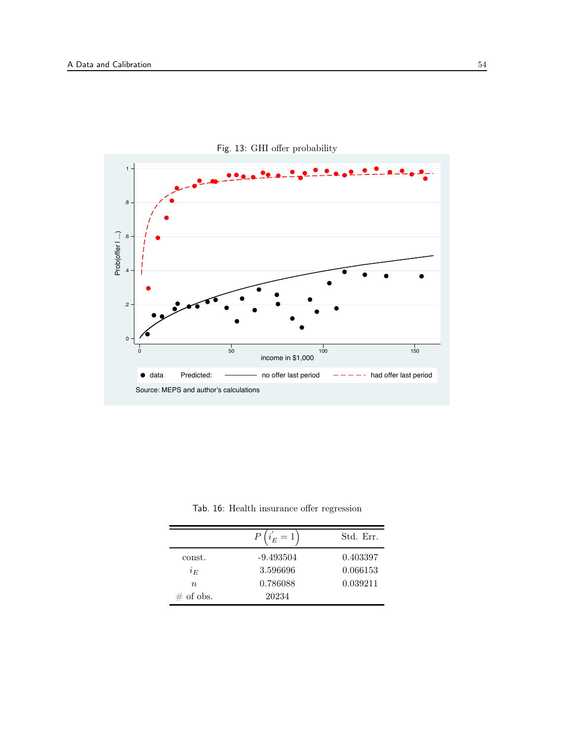

Fig. 13: GHI offer probability

Tab. 16: Health insurance offer regression

|              | $\ell \, i_E^{'} = 1$ , | Std. Err. |
|--------------|-------------------------|-----------|
| const.       | $-9.493504$             | 0.403397  |
| $i_E$        | 3.596696                | 0.066153  |
| $n_{\rm}$    | 0.786088                | 0.039211  |
| $\#$ of obs. | 20234                   |           |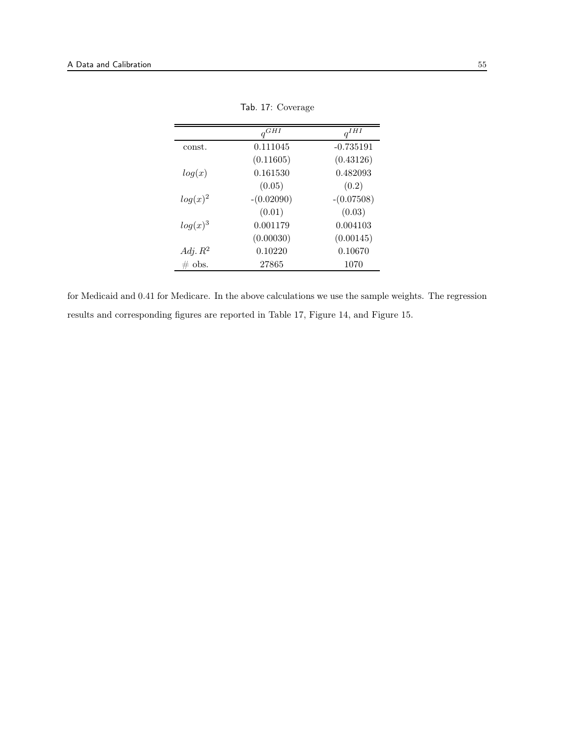|            | $q^{GHI}$    | $q^{IHT}$    |
|------------|--------------|--------------|
| const.     | 0.111045     | $-0.735191$  |
|            | (0.11605)    | (0.43126)    |
| log(x)     | 0.161530     | 0.482093     |
|            | (0.05)       | (0.2)        |
| $log(x)^2$ | $-(0.02090)$ | $-(0.07508)$ |
|            | (0.01)       | (0.03)       |
| $log(x)^3$ | 0.001179     | 0.004103     |
|            | (0.00030)    | (0.00145)    |
| Adj. $R^2$ | 0.10220      | 0.10670      |
| $\#$ obs.  | 27865        | 1070         |

Tab. 17: Coverage

for Medicaid and 0.41 for Medicare. In the above calculations we use the sample weights. The regression results and corresponding figures are reported in Table 17, Figure 14, and Figure 15.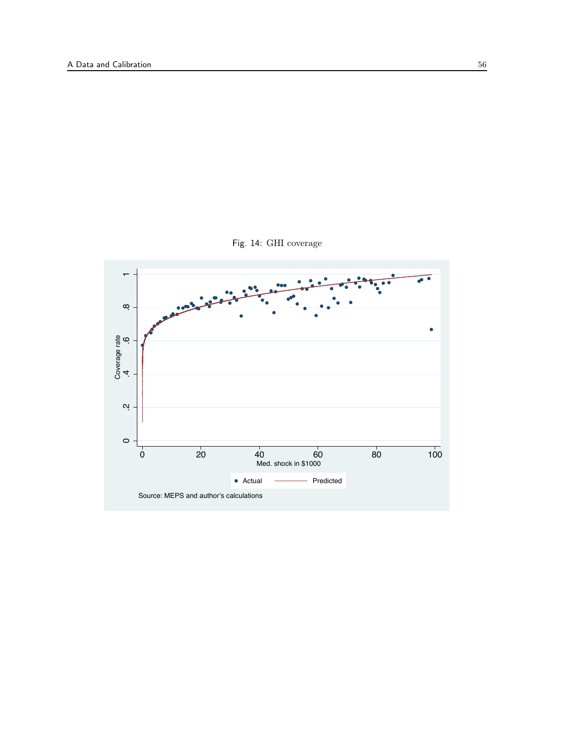